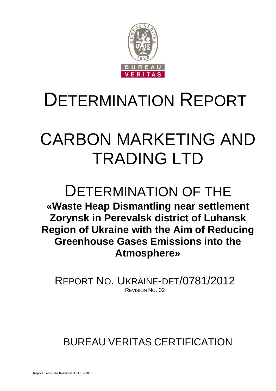

# СARBON MARKETING AND TRADING LTD

## DETERMINATION OF THE **«Waste Heap Dismantling near settlement Zorynsk in Perevalsk district of Luhansk Region of Ukraine with the Aim of Reducing Greenhouse Gases Emissions into the Atmosphere»**

REPORT NO. UKRAINE-DET/0781/2012 REVISION NO. 02

## BUREAU VERITAS CERTIFICATION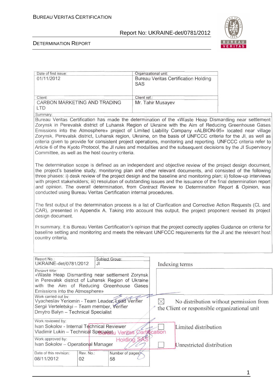

1

#### DETERMINATION REPORT

| Date of first issue:                                                                                      |                       | Organizational unit:                                                                                                                                                                                                    |                                         |
|-----------------------------------------------------------------------------------------------------------|-----------------------|-------------------------------------------------------------------------------------------------------------------------------------------------------------------------------------------------------------------------|-----------------------------------------|
| 01/11/2012                                                                                                |                       | <b>Bureau Veritas Certification Holding</b>                                                                                                                                                                             |                                         |
|                                                                                                           |                       | SAS                                                                                                                                                                                                                     |                                         |
|                                                                                                           |                       |                                                                                                                                                                                                                         |                                         |
| Client:                                                                                                   |                       | Client ref.:                                                                                                                                                                                                            |                                         |
| CARBON MARKETING AND TRADING                                                                              |                       | Mr. Tahir Musayev                                                                                                                                                                                                       |                                         |
| <b>LTD</b>                                                                                                |                       |                                                                                                                                                                                                                         |                                         |
| Summary:                                                                                                  |                       |                                                                                                                                                                                                                         |                                         |
|                                                                                                           |                       | Bureau Veritas Certification has made the determination of the «Waste Heap Dismantling near settlement                                                                                                                  |                                         |
|                                                                                                           |                       | Zorynsk in Perevalsk district of Luhansk Region of Ukraine with the Aim of Reducing Greenhouse Gases                                                                                                                    |                                         |
|                                                                                                           |                       | Emissions into the Atmosphere» project of Limited Liability Company «ALBION-95» located near village                                                                                                                    |                                         |
|                                                                                                           |                       | Zorynsk, Perevalsk district, Luhansk region, Ukraine, on the basis of UNFCCC criteria for the JI, as well as                                                                                                            |                                         |
|                                                                                                           |                       | criteria given to provide for consistent project operations, monitoring and reporting. UNFCCC criteria refer to                                                                                                         |                                         |
|                                                                                                           |                       | Article 6 of the Kyoto Protocol, the JI rules and modalities and the subsequent decisions by the JI Supervisory                                                                                                         |                                         |
| Committee, as well as the host country criteria.                                                          |                       |                                                                                                                                                                                                                         |                                         |
|                                                                                                           |                       |                                                                                                                                                                                                                         |                                         |
|                                                                                                           |                       |                                                                                                                                                                                                                         |                                         |
|                                                                                                           |                       | The determination scope is defined as an independent and objective review of the project design document,<br>the project's baseline study, monitoring plan and other relevant documents, and consisted of the following |                                         |
|                                                                                                           |                       | three phases: i) desk review of the project design and the baseline and monitoring plan; ii) follow-up interviews                                                                                                       |                                         |
|                                                                                                           |                       | with project stakeholders; iii) resolution of outstanding issues and the issuance of the final determination report                                                                                                     |                                         |
|                                                                                                           |                       | and opinion. The overall determination, from Contract Review to Determination Report & Opinion, was                                                                                                                     |                                         |
| conducted using Bureau Veritas Certification internal procedures.                                         |                       |                                                                                                                                                                                                                         |                                         |
|                                                                                                           |                       |                                                                                                                                                                                                                         |                                         |
|                                                                                                           |                       |                                                                                                                                                                                                                         |                                         |
|                                                                                                           |                       | The first output of the determination process is a list of Clarification and Corrective Action Requests (CL and                                                                                                         |                                         |
|                                                                                                           |                       |                                                                                                                                                                                                                         |                                         |
| CAR), presented in Appendix A. Taking into account this output, the project proponent revised its project |                       |                                                                                                                                                                                                                         |                                         |
| design document.                                                                                          |                       |                                                                                                                                                                                                                         |                                         |
|                                                                                                           |                       |                                                                                                                                                                                                                         |                                         |
|                                                                                                           |                       | In summary, it is Bureau Veritas Certification's opinion that the project correctly applies Guidance on criteria for                                                                                                    |                                         |
|                                                                                                           |                       | baseline setting and monitoring and meets the relevant UNFCCC requirements for the JI and the relevant host                                                                                                             |                                         |
| country criteria.                                                                                         |                       |                                                                                                                                                                                                                         |                                         |
|                                                                                                           |                       |                                                                                                                                                                                                                         |                                         |
|                                                                                                           |                       |                                                                                                                                                                                                                         |                                         |
| Report No.:                                                                                               | Subject Group:        |                                                                                                                                                                                                                         |                                         |
| UKRAINE-det/0781/2012                                                                                     | JI                    | Indexing terms                                                                                                                                                                                                          |                                         |
| Project title:                                                                                            |                       |                                                                                                                                                                                                                         |                                         |
| «Waste Heap Dismantling near settlement Zorynsk                                                           |                       |                                                                                                                                                                                                                         |                                         |
| in Perevalsk district of Luhansk Region of Ukraine                                                        |                       |                                                                                                                                                                                                                         |                                         |
| with the Aim of Reducing Greenhouse Gases                                                                 |                       |                                                                                                                                                                                                                         |                                         |
| Emissions into the Atmosphere»                                                                            |                       |                                                                                                                                                                                                                         |                                         |
| Work carried out by:<br>Vyacheslav Yeriomin - Team Leader, Lead Verifier                                  |                       |                                                                                                                                                                                                                         |                                         |
| Sergii Verteletskyi - Team member, Verifier                                                               |                       |                                                                                                                                                                                                                         | No distribution without permission from |
| Dmytro Balyn - Technical Specialist                                                                       |                       | the Client or responsible organizational unit                                                                                                                                                                           |                                         |
|                                                                                                           |                       |                                                                                                                                                                                                                         |                                         |
| Work reviewed by:                                                                                         |                       |                                                                                                                                                                                                                         |                                         |
| Ivan Sokolov - Internal Technical Reviewer                                                                |                       | Limited distribution                                                                                                                                                                                                    |                                         |
| Vladimir Lukin - Technical Specialistu Veritas Certification                                              |                       |                                                                                                                                                                                                                         |                                         |
| Work approved by:                                                                                         | Holding               |                                                                                                                                                                                                                         |                                         |
| Ivan Sokolov - Operational Manager                                                                        |                       | Unrestricted distribution                                                                                                                                                                                               |                                         |
| Date of this revision:<br>Rev. No.:                                                                       |                       |                                                                                                                                                                                                                         |                                         |
| 08/11/2012<br>02                                                                                          | Number of pages<br>58 |                                                                                                                                                                                                                         |                                         |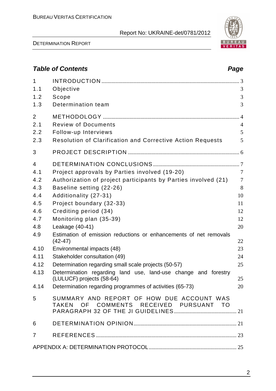DETERMINATION REPORT

2

## **Table of Contents Page 2018**

| $\mathbf{1}$<br>1.1<br>1.2<br>1.3                                                                | Objective<br>Scope<br>Determination team                                                                                                                                                                                                                                                                                                                                                                                                                                                                                                                                          | 3<br>3<br>3                                                                                       |
|--------------------------------------------------------------------------------------------------|-----------------------------------------------------------------------------------------------------------------------------------------------------------------------------------------------------------------------------------------------------------------------------------------------------------------------------------------------------------------------------------------------------------------------------------------------------------------------------------------------------------------------------------------------------------------------------------|---------------------------------------------------------------------------------------------------|
| $\overline{2}$<br>2.1<br>2.2<br>2.3                                                              | <b>Review of Documents</b><br>Follow-up Interviews<br><b>Resolution of Clarification and Corrective Action Requests</b>                                                                                                                                                                                                                                                                                                                                                                                                                                                           | $\overline{4}$<br>5<br>5                                                                          |
| 3                                                                                                |                                                                                                                                                                                                                                                                                                                                                                                                                                                                                                                                                                                   |                                                                                                   |
| 4<br>4.1<br>4.2<br>4.3<br>4.4<br>4.5<br>4.6<br>4.7<br>4.8<br>4.9<br>4.10<br>4.11<br>4.12<br>4.13 | Project approvals by Parties involved (19-20)<br>Authorization of project participants by Parties involved (21)<br>Baseline setting (22-26)<br>Additionality (27-31)<br>Project boundary (32-33)<br>Crediting period (34)<br>Monitoring plan (35-39)<br>Leakage (40-41)<br>Estimation of emission reductions or enhancements of net removals<br>$(42 - 47)$<br>Environmental impacts (48)<br>Stakeholder consultation (49)<br>Determination regarding small scale projects (50-57)<br>Determination regarding land use, land-use change and forestry<br>(LULUCF) projects (58-64) | $\overline{7}$<br>$\overline{7}$<br>8<br>10<br>11<br>12<br>12<br>20<br>22<br>23<br>24<br>25<br>25 |
| 4.14                                                                                             | Determination regarding programmes of activities (65-73)                                                                                                                                                                                                                                                                                                                                                                                                                                                                                                                          | 20                                                                                                |
| 5                                                                                                | SUMMARY AND REPORT OF HOW DUE ACCOUNT WAS<br>TAKEN OF COMMENTS RECEIVED PURSUANT TO                                                                                                                                                                                                                                                                                                                                                                                                                                                                                               |                                                                                                   |
| 6                                                                                                |                                                                                                                                                                                                                                                                                                                                                                                                                                                                                                                                                                                   |                                                                                                   |
| $\overline{7}$                                                                                   |                                                                                                                                                                                                                                                                                                                                                                                                                                                                                                                                                                                   |                                                                                                   |
|                                                                                                  |                                                                                                                                                                                                                                                                                                                                                                                                                                                                                                                                                                                   |                                                                                                   |

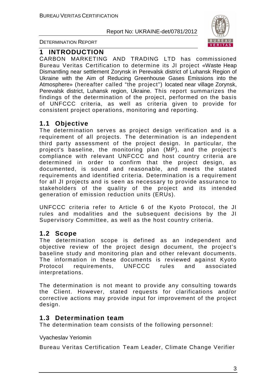

DETERMINATION REPORT

#### **1 INTRODUCTION**

СARBON MARKETING AND TRADING LTD has commissioned Bureau Veritas Certification to determine its JI project «Waste Heap Dismantling near settlement Zorynsk in Perevalsk district of Luhansk Region of Ukraine with the Aim of Reducing Greenhouse Gases Emissions into the Atmosphere» (hereafter called "the project") located near village Zorynsk, Perevalsk district, Luhansk region, Ukraine. This report summarizes the findings of the determination of the project, performed on the basis of UNFCCC criteria, as well as criteria given to provide for consistent project operations, monitoring and reporting.

#### **1.1 Objective**

The determination serves as project design verification and is a requirement of all projects. The determination is an independent third party assessment of the project design. In particular, the project's baseline, the monitoring plan (MP), and the project's compliance with relevant UNFCCC and host country criteria are determined in order to confirm that the project design, as documented, is sound and reasonable, and meets the stated requirements and identified criteria. Determination is a requirement for all JI projects and is seen as necessary to provide assurance to stakeholders of the quality of the project and its intended generation of emission reduction units (ERUs).

UNFCCC criteria refer to Article 6 of the Kyoto Protocol, the JI rules and modalities and the subsequent decisions by the JI Supervisory Committee, as well as the host country criteria.

#### **1.2 Scope**

The determination scope is defined as an independent and objective review of the project design document, the project's baseline study and monitoring plan and other relevant documents. The information in these documents is reviewed against Kyoto Protocol requirements, UNFCCC rules and associated interpretations.

The determination is not meant to provide any consulting towards the Client. However, stated requests for clarifications and/or corrective actions may provide input for improvement of the project design.

#### **1.3 Determination team**

The determination team consists of the following personnel:

#### Vyacheslav Yeriomin

Bureau Veritas Certification Team Leader, Climate Change Verifier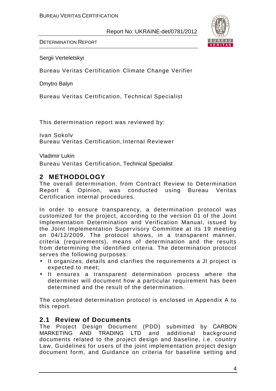

DETERMINATION REPORT

Sergii Verteletskyi

Bureau Veritas Certification Climate Change Verifier

Dmytro Balyn

Bureau Veritas Certification, Technical Specialist

This determination report was reviewed by:

Ivan Sokolv Bureau Veritas Certification, Internal Reviewer

Vladimir Lukin

Bureau Veritas Certification, Technical Specialist

#### **2 METHODOLOGY**

The overall determination, from Contract Review to Determination Report & Opinion, was conducted using Bureau Veritas Certification internal procedures.

In order to ensure transparency, a determination protocol was customized for the project, according to the version 01 of the Joint Implementation Determination and Verification Manual, issued by the Joint Implementation Supervisory Committee at its 19 meeting on 04/12/2009. The protocol shows, in a transparent manner, criteria (requirements), means of determination and the results from determining the identified criteria. The determination protocol serves the following purposes:

- It organizes, details and clarifies the requirements a JI project is expected to meet;
- It ensures a transparent determination process where the determiner will document how a particular requirement has been determined and the result of the determination.

The completed determination protocol is enclosed in Appendix A to this report.

#### **2.1 Review of Documents**

The Project Design Document (PDD) submitted by СARBON MARKETING AND TRADING LTD and additional background documents related to the project design and baseline, i.e. country Law, Guidelines for users of the joint implementation project design document form, and Guidance on criteria for baseline setting and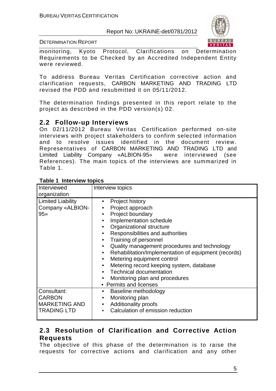

DETERMINATION REPORT

monitoring, Kyoto Protocol, Clarifications on Determination Requirements to be Checked by an Accredited Independent Entity were reviewed.

To address Bureau Veritas Certification corrective action and clarification requests, СARBON MARKETING AND TRADING LTD revised the PDD and resubmitted it on 05/11/2012.

The determination findings presented in this report relate to the project as described in the PDD version(s) 02.

#### **2.2 Follow-up Interviews**

On 02/11/2012 Bureau Veritas Certification performed on-site interviews with project stakeholders to confirm selected information and to resolve issues identified in the document review. Representatives of СARBON MARKETING AND TRADING LTD and Limited Liability Company «ALBION-95» were interviewed (see References). The main topics of the interviews are summarized in Table 1.

| Interviewed<br>organization                                                | Interview topics                                                                                                                                                                                                                                                                                                                                                                                                                                                                                                                                                                 |
|----------------------------------------------------------------------------|----------------------------------------------------------------------------------------------------------------------------------------------------------------------------------------------------------------------------------------------------------------------------------------------------------------------------------------------------------------------------------------------------------------------------------------------------------------------------------------------------------------------------------------------------------------------------------|
| <b>Limited Liability</b><br>Company «ALBION-<br>$95*$                      | Project history<br>Project approach<br>Project boundary<br>$\bullet$<br>Implementation schedule<br>$\bullet$<br>Organizational structure<br>$\bullet$<br>Responsibilities and authorities<br>$\bullet$<br>Training of personnel<br>$\bullet$<br>Quality management procedures and technology<br>$\bullet$<br>Rehabilitation/Implementation of equipment (records)<br>$\bullet$<br>Metering equipment control<br>$\bullet$<br>Metering record keeping system, database<br>$\bullet$<br><b>Technical documentation</b><br>Monitoring plan and procedures<br>• Permits and licenses |
| Consultant:<br><b>CARBON</b><br><b>MARKETING AND</b><br><b>TRADING LTD</b> | Baseline methodology<br>$\bullet$<br>Monitoring plan<br><b>Additionality proofs</b><br>$\bullet$<br>Calculation of emission reduction<br>$\bullet$                                                                                                                                                                                                                                                                                                                                                                                                                               |

#### **Table 1 Interview topics**

#### **2.3 Resolution of Clarification and Corrective Action Requests**

The objective of this phase of the determination is to raise the requests for corrective actions and clarification and any other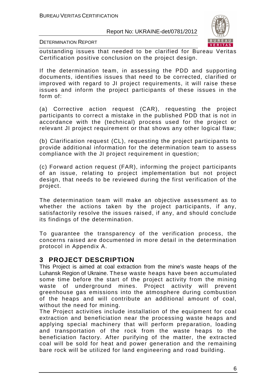

DETERMINATION REPORT

outstanding issues that needed to be clarified for Bureau Veritas Certification positive conclusion on the project design.

If the determination team, in assessing the PDD and supporting documents, identifies issues that need to be corrected, clarified or improved with regard to JI project requirements, it will raise these issues and inform the project participants of these issues in the form of:

(a) Corrective action request (CAR), requesting the project participants to correct a mistake in the published PDD that is not in accordance with the (technical) process used for the project or relevant JI project requirement or that shows any other logical flaw;

(b) Clarification request (CL), requesting the project participants to provide additional information for the determination team to assess compliance with the JI project requirement in question;

(c) Forward action request (FAR), informing the project participants of an issue, relating to project implementation but not project design, that needs to be reviewed during the first verification of the project.

The determination team will make an objective assessment as to whether the actions taken by the project participants, if any, satisfactorily resolve the issues raised, if any, and should conclude its findings of the determination.

To guarantee the transparency of the verification process, the concerns raised are documented in more detail in the determination protocol in Appendix A.

#### **3 PROJECT DESCRIPTION**

This Project is aimed at coal extraction from the mine's waste heaps of the Luhansk Region of Ukraine. These waste heaps have been accumulated some time before the start of the project activity from the mining waste of underground mines. Project activity will prevent greenhouse gas emissions into the atmosphere during combustion of the heaps and will contribute an additional amount of coal, without the need for mining.

The Project activities include installation of the equipment for coal extraction and beneficiation near the processing waste heaps and applying special machinery that will perform preparation, loading and transportation of the rock from the waste heaps to the beneficiation factory. After purifying of the matter, the extracted coal will be sold for heat and power generation and the remaining bare rock will be utilized for land engineering and road building.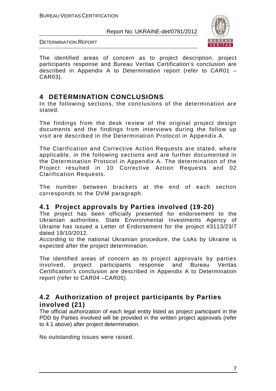

DETERMINATION REPORT

The identified areas of concern as to project description, project participants response and Bureau Veritas Certification's conclusion are described in Appendix A to Determination report (refer to CAR01 – CAR03).

### **4 DETERMINATION CONCLUSIONS**

In the following sections, the conclusions of the determination are stated.

The findings from the desk review of the original project design documents and the findings from interviews during the follow up visit are described in the Determination Protocol in Appendix A.

The Clarification and Corrective Action Requests are stated, where applicable, in the following sections and are further documented in the Determination Protocol in Appendix A. The determination of the Project resulted in 10 Corrective Action Requests and 02 Clarification Requests.

The number between brackets at the end of each section corresponds to the DVM paragraph.

#### **4.1 Project approvals by Parties involved (19-20)**

The project has been officially presented for endorsement to the Ukrainian authorities. State Environmental Investments Agency of Ukraine has issued a Letter of Endorsement for the project #3113/23/7 dated 19/10/2012.

According to the national Ukrainian procedure, the LoAs by Ukraine is expected after the project determination.

The identified areas of concern as to project approvals by parties involved, project participants response and Bureau Veritas Certification's conclusion are described in Appendix A to Determination report (refer to CAR04 –CAR05).

### **4.2 Authorization of project participants by Parties involved (21)**

The official authorization of each legal entity listed as project participant in the PDD by Parties involved will be provided in the written project approvals (refer to 4.1 above) after project determination.

No outstanding issues were raised.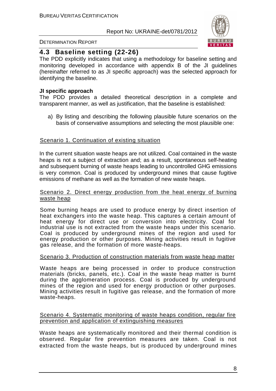

#### DETERMINATION REPORT

#### **4.3 Baseline setting (22-26)**

The PDD explicitly indicates that using a methodology for baseline setting and monitoring developed in accordance with appendix B of the JI guidelines (hereinafter referred to as JI specific approach) was the selected approach for identifying the baseline.

#### **JI specific approach**

The PDD provides a detailed theoretical description in a complete and transparent manner, as well as justification, that the baseline is established:

a) By listing and describing the following plausible future scenarios on the basis of conservative assumptions and selecting the most plausible one:

#### Scenario 1. Continuation of existing situation

In the current situation waste heaps are not utilized. Coal contained in the waste heaps is not a subject of extraction and; as a result, spontaneous self-heating and subsequent burning of waste heaps leading to uncontrolled GHG emissions is very common. Coal is produced by underground mines that cause fugitive emissions of methane as well as the formation of new waste heaps.

#### Scenario 2. Direct energy production from the heat energy of burning waste heap

Some burning heaps are used to produce energy by direct insertion of heat exchangers into the waste heap. This captures a certain amount of heat energy for direct use or conversion into electricity. Coal for industrial use is not extracted from the waste heaps under this scenario. Coal is produced by underground mines of the region and used for energy production or other purposes. Mining activities result in fugitive gas release, and the formation of more waste-heaps.

#### Scenario 3. Production of construction materials from waste heap matter

Waste heaps are being processed in order to produce construction materials (bricks, panels, etc.). Coal in the waste heap matter is burnt during the agglomeration process. Coal is produced by underground mines of the region and used for energy production or other purposes. Mining activities result in fugitive gas release, and the formation of more waste-heaps.

#### Scenario 4. Systematic monitoring of waste heaps condition, regular fire prevention and application of extinguishing measures

Waste heaps are systematically monitored and their thermal condition is observed. Regular fire prevention measures are taken. Coal is not extracted from the waste heaps, but is produced by underground mines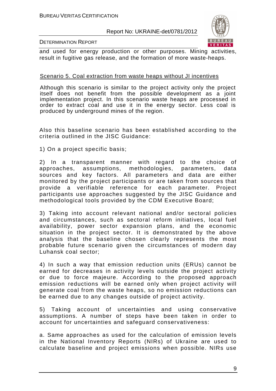

#### DETERMINATION REPORT

and used for energy production or other purposes. Mining activities, result in fugitive gas release, and the formation of more waste-heaps.

#### Scenario 5. Coal extraction from waste heaps without JI incentives

Although this scenario is similar to the project activity only the project itself does not benefit from the possible development as a joint implementation project. In this scenario waste heaps are processed in order to extract coal and use it in the energy sector. Less coal is produced by underground mines of the region.

Also this baseline scenario has been established according to the criteria outlined in the JISC Guidance:

1) On a project specific basis;

2) In a transparent manner with regard to the choice of approaches, assumptions, methodologies, parameters, data sources and key factors. All parameters and data are either monitored by the project participants or are taken from sources that provide a verifiable reference for each parameter. Project participants use approaches suggested by the JISC Guidance and methodological tools provided by the CDM Executive Board;

3) Taking into account relevant national and/or sectoral policies and circumstances, such as sectoral reform initiatives, local fuel availability, power sector expansion plans, and the economic situation in the project sector. It is demonstrated by the above analysis that the baseline chosen clearly represents the most probable future scenario given the circumstances of modern day Luhansk coal sector;

4) In such a way that emission reduction units (ERUs) cannot be earned for decreases in activity levels outside the project activity or due to force majeure. According to the proposed approach emission reductions will be earned only when project activity will generate coal from the waste heaps, so no emission reductions can be earned due to any changes outside of project activity.

5) Taking account of uncertainties and using conservative assumptions. A number of steps have been taken in order to account for uncertainties and safeguard conservativeness:

a. Same approaches as used for the calculation of emission levels in the National Inventory Reports (NIRs) of Ukraine are used to calculate baseline and project emissions when possible. NIRs use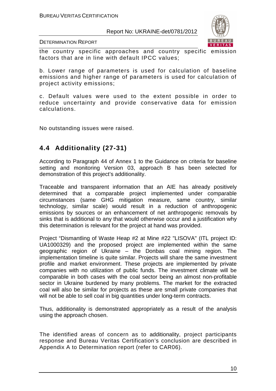

DETERMINATION REPORT

the country specific approaches and country specific emission factors that are in line with default IPCC values;

b. Lower range of parameters is used for calculation of baseline emissions and higher range of parameters is used for calculation of project activity emissions;

c. Default values were used to the extent possible in order to reduce uncertainty and provide conservative data for emission calculations.

No outstanding issues were raised.

## **4.4 Additionality (27-31)**

According to Paragraph 44 of Annex 1 to the Guidance on criteria for baseline setting and monitoring Version 03, approach B has been selected for demonstration of this project's additionality.

Traceable and transparent information that an AIE has already positively determined that a comparable project implemented under comparable circumstances (same GHG mitigation measure, same country, similar technology, similar scale) would result in a reduction of anthropogenic emissions by sources or an enhancement of net anthropogenic removals by sinks that is additional to any that would otherwise occur and a justification why this determination is relevant for the project at hand was provided.

Project "Dismantling of Waste Heap #2 at Mine #22 "LISOVA" (ITL project ID: UA1000329) and the proposed project are implemented within the same geographic region of Ukraine – the Donbas coal mining region. The implementation timeline is quite similar. Projects will share the same investment profile and market environment. These projects are implemented by private companies with no utilization of public funds. The investment climate will be comparable in both cases with the coal sector being an almost non-profitable sector in Ukraine burdened by many problems. The market for the extracted coal will also be similar for projects as these are small private companies that will not be able to sell coal in big quantities under long-term contracts.

Thus, additionality is demonstrated appropriately as a result of the analysis using the approach chosen.

The identified areas of concern as to additionality, project participants response and Bureau Veritas Certification's conclusion are described in Appendix A to Determination report (refer to CAR06).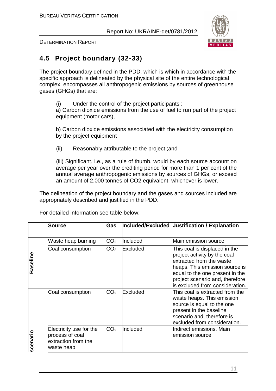

DETERMINATION REPORT

## **4.5 Project boundary (32-33)**

The project boundary defined in the PDD, which is which in accordance with the specific approach is delineated by the physical site of the entire technological complex, encompasses all anthropogenic emissions by sources of greenhouse gases (GHGs) that are:

(i) Under the control of the project participants :

a) Carbon dioxide emissions from the use of fuel to run part of the project equipment (motor cars),

b) Carbon dioxide emissions associated with the electricity consumption by the project equipment

(ii) Reasonably attributable to the project ;and

(iii) Significant, i.e., as a rule of thumb, would by each source account on average per year over the crediting period for more than 1 per cent of the annual average anthropogenic emissions by sources of GHGs, or exceed an amount of 2,000 tonnes of CO2 equivalent, whichever is lower.

The delineation of the project boundary and the gases and sources included are appropriately described and justified in the PDD.

|          | <b>Source</b>                                                                   | Gas             |          | Included/Excluded Uustification / Explanation                                                                                                                                                                                        |
|----------|---------------------------------------------------------------------------------|-----------------|----------|--------------------------------------------------------------------------------------------------------------------------------------------------------------------------------------------------------------------------------------|
|          | Waste heap burning                                                              | CO <sub>2</sub> | Included | Main emission source                                                                                                                                                                                                                 |
| Baseline | Coal consumption                                                                | CO <sub>2</sub> | Excluded | This coal is displaced in the<br>project activity by the coal<br>extracted from the waste<br>heaps. This emission source is<br>equal to the one present in the<br>project scenario and, therefore<br>is excluded from consideration. |
|          | Coal consumption                                                                | CO <sub>2</sub> | Excluded | This coal is extracted from the<br>waste heaps. This emission<br>source is equal to the one<br>bresent in the baseline<br>scenario and, therefore is<br>excluded from consideration.                                                 |
| scenario | Electricity use for the<br>process of coal<br>extraction from the<br>waste heap | CO <sub>2</sub> | Included | Indirect emissions. Main<br>emission source                                                                                                                                                                                          |

For detailed information see table below: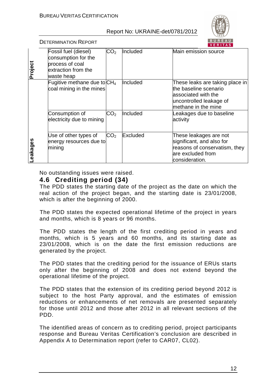

DETERMINATION REPORT

| Project | Fossil fuel (diesel)<br>consumption for the<br>process of coal<br>extraction from the<br>waste heap | $\mathsf{CO_2}$ | Included | Main emission source                                                                                                               |
|---------|-----------------------------------------------------------------------------------------------------|-----------------|----------|------------------------------------------------------------------------------------------------------------------------------------|
|         | Fugitive methane due to $CH4$<br>coal mining in the mines                                           |                 | Included | These leaks are taking place in<br>the baseline scenario<br>lassociated with the<br>uncontrolled leakage of<br>methane in the mine |
|         | Consumption of<br>electricity due to mining                                                         | CO <sub>2</sub> | Included | Leakages due to baseline<br>activity                                                                                               |
| eakages | Use of other types of<br>energy resources due to<br>mining                                          | CO <sub>2</sub> | Excluded | These leakages are not<br>significant, and also for<br>reasons of conservatism, they<br>are excluded from<br>consideration.        |

No outstanding issues were raised.

#### **4.6 Crediting period (34)**

The PDD states the starting date of the project as the date on which the real action of the project began, and the starting date is 23/01/2008, which is after the beginning of 2000.

The PDD states the expected operational lifetime of the project in years and months, which is 8 years or 96 months.

The PDD states the length of the first crediting period in years and months, which is 5 years and 60 months, and its starting date as 23/01/2008, which is on the date the first emission reductions are generated by the project.

The PDD states that the crediting period for the issuance of ERUs starts only after the beginning of 2008 and does not extend beyond the operational lifetime of the project.

The PDD states that the extension of its crediting period beyond 2012 is subject to the host Party approval, and the estimates of emission reductions or enhancements of net removals are presented separately for those until 2012 and those after 2012 in all relevant sections of the PDD.

The identified areas of concern as to crediting period, project participants response and Bureau Veritas Certification's conclusion are described in Appendix A to Determination report (refer to CAR07, CL02).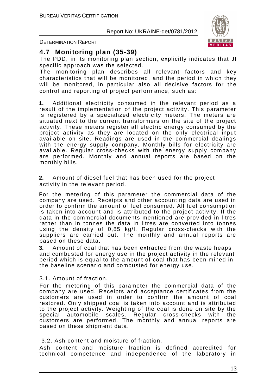

DETERMINATION REPORT

#### **4.7 Monitoring plan (35-39)**

The PDD, in its monitoring plan section, explicitly indicates that JI specific approach was the selected.

The monitoring plan describes all relevant factors and key characteristics that will be monitored, and the period in which they will be monitored, in particular also all decisive factors for the control and reporting of project performance, such as:

**1.** Additional electricity consumed in the relevant period as a result of the implementation of the project activity. This parameter is registered by a specialized electricity meters. The meters are situated next to the current transformers on the site of the project activity. These meters register all electric energy consumed by the project activity as they are located on the only electrical input available on site. Readings are used in the commercial dealings with the energy supply company. Monthly bills for electricity are available. Regular cross-checks with the energy supply company are performed. Monthly and annual reports are based on the monthly bills.

**2.** Amount of diesel fuel that has been used for the project activity in the relevant period.

For the metering of this parameter the commercial data of the company are used. Receipts and other accounting data are used in order to confirm the amount of fuel consumed. All fuel consumption is taken into account and is attributed to the project activity. If the data in the commercial documents mentioned are provided in litres rather than in tonnes the data in litres are converted into tonnes using the density of 0,85 kg/l. Regular cross-checks with the suppliers are carried out. The monthly and annual reports are based on these data.

**3.** Amount of coal that has been extracted from the waste heaps and combusted for energy use in the project activity in the relevant period which is equal to the amount of coal that has been mined in the baseline scenario and combusted for energy use.

3.1. Amount of fraction.

For the metering of this parameter the commercial data of the company are used. Receipts and acceptance certificates from the customers are used in order to confirm the amount of coal restored. Only shipped coal is taken into account and is attributed to the project activity. Weighting of the coal is done on site by the special automobile scales. Regular cross-checks with the customers are performed. The monthly and annual reports are based on these shipment data.

#### 3.2. Ash content and moisture of fraction.

Ash content and moisture fraction is defined accredited for technical competence and independence of the laboratory in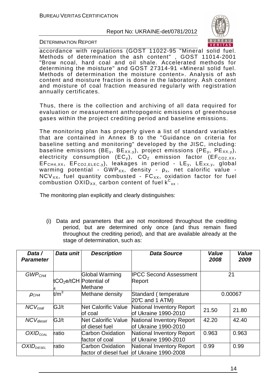

DETERMINATION REPORT

accordance with regulations (GOST 11022-95 "Mineral solid fuel. Methods of determination the ash content" , GOST 11014-2001 "Brow ncoal, hard coal and oil shale. Accelerated methods for determining the moisture" and GOST 27314-91 «Mineral solid fuel. Methods of determination the moisture content». Analysis of ash content and moisture fraction is done in the laboratory. Ash content and moisture of coal fraction measured regularly with registration annually certificates.

Thus, there is the collection and archiving of all data required for evaluation or measurement anthropogenic emissions of greenhouse gases within the project crediting period and baseline emissions.

The monitoring plan has properly given a list of standard variables that are contained in Annex B to the "Guidance on criteria for baseline setting and monitoring" developed by the JISC, including: baseline emissions (BE<sub>y</sub>, BE<sub>XX, y</sub>), project emissions (PE<sub>y</sub>, PE<sub>XX, y</sub>), electricity consumption (EC<sub>y</sub>), CO<sub>2</sub> emission factor (EF<sub>CO2</sub>  $_{XX}$ ,  $EF<sub>CH4, XX</sub>$ ,  $EF<sub>CO2,ELEC,V</sub>$ , leakages in period -  $LE<sub>v</sub>$ ,  $LE<sub>XX,V</sub>$ , global warming potential - GWP<sub>XX</sub>, density -  $\rho_{x}$ , net calorific value - $NCV_{XX}$ , fuel quantity combusted -  $FC_{XX}$ , oxidation factor for fuel combustion  $\mathsf{OXID}_{\mathsf{XX}}$  carbon content of fuel  $\mathsf{k^C}_{\mathsf{xx}}$  .

The monitoring plan explicitly and clearly distinguishes:

(i) Data and parameters that are not monitored throughout the crediting period, but are determined only once (and thus remain fixed throughout the crediting period), and that are available already at the stage of determination, such as:

| Data /<br><b>Parameter</b> | Data unit | <b>Description</b>                                           | <b>Data Source</b>                                        | Value<br>2008 | Value<br>2009 |
|----------------------------|-----------|--------------------------------------------------------------|-----------------------------------------------------------|---------------|---------------|
| GWP <sub>CH4</sub>         |           | <b>Global Warming</b><br>tCO <sub>2</sub> e/tCH Potential of | <b>IPCC Second Assessment</b><br>Report                   |               | 21            |
|                            |           | Methane                                                      |                                                           |               |               |
| $\rho_{CH4}$               | $t/m^3$   | Methane density                                              | Standard (temperature<br>20℃ and 1 ATM)                   |               | 0.00067       |
| $NCV_{coal}$               | GJ/t      | <b>Net Calorific Value</b><br>of coal                        | National Inventory Report<br><b>lof Ukraine 1990-2010</b> | 21.50         | 21.80         |
| $NCV_{diesel}$             | GJ/t      | <b>Net Calorific Value</b><br>of diesel fuel                 | National Inventory Report<br><b>lof Ukraine 1990-2010</b> | 42.20         | 42.40         |
| $OXID_{COAL}$              | ratio     | <b>Carbon Oxidation</b><br>factor of coal                    | National Inventory Report<br>of Ukraine 1990-2010         | 0.963         | 0.963         |
| OXID <sub>DIESEL</sub>     | ratio     | Carbon Oxidation<br>factor of diesel fuel                    | National Inventory Report<br>of Ukraine 1990-2008         | 0.99          | 0.99          |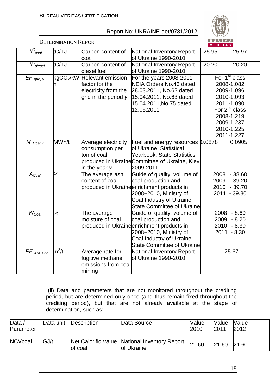

|                                | <b>DETERMINATION REPORT</b> |                                                                                            |                                                                                                                                                                                             | <u>BUREAU</u><br>VERITAS |                                                                                                                                                                 |
|--------------------------------|-----------------------------|--------------------------------------------------------------------------------------------|---------------------------------------------------------------------------------------------------------------------------------------------------------------------------------------------|--------------------------|-----------------------------------------------------------------------------------------------------------------------------------------------------------------|
| $\overline{k}_{\text{coal}}^C$ | tC/TJ                       | Carbon content of<br>coal                                                                  | National Inventory Report<br>of Ukraine 1990-2010                                                                                                                                           | 25.95                    | 25.97                                                                                                                                                           |
| $k_{\text{diesel}}^C$          | tC/TJ                       | Carbon content of<br>diesel fuel                                                           | National Inventory Report<br>of Ukraine 1990-2010                                                                                                                                           | 20.20                    | 20.20                                                                                                                                                           |
| $EF_{grid, y}$                 | kgCO <sub>2</sub> /kW       | <b>Relevant emission</b><br>factor for the<br>electricity from the<br>grid in the period y | For the years 2008-2011 $-$<br>NEIA Orders No.43 dated<br>28.03.2011, No.62 dated<br>15.04.2011, No.63 dated<br>15.04.2011, No.75 dated<br>12.05.2011                                       |                          | For 1 <sup>st</sup> class<br>2008-1.082<br>2009-1.096<br>2010-1.093<br>2011-1.090<br>For $2^{nd}$ class<br>2008-1.219<br>2009-1.237<br>2010-1.225<br>2011-1.227 |
| $N^E$ <sub>Coal,y</sub>        | MWh/t                       | Average electricity<br>consumption per<br>ton of coal,<br>in the year y                    | Fuel and energy resources<br>of Ukraine, Statistical<br><b>Yearbook, State Statistics</b><br>produced in UkraineCommittee of Ukraine, Kiev<br>2009-2011                                     | 0.0878                   | 0.0905                                                                                                                                                          |
| $A_{Coal}$                     | %                           | The average ash<br>content of coal                                                         | Guide of quality, volume of<br>coal production and<br>produced in Ukraineenrichment products in<br>2008-2010, Ministry of<br>Coal Industry of Ukraine,<br><b>State Committee of Ukraine</b> | 2009<br>2010             | 2008 - 38.60<br>$-39.20$<br>$-39.70$<br>2011 - 39.80                                                                                                            |
| $W_{Coal}$                     | %                           | The average<br>moisture of coal                                                            | Guide of quality, volume of<br>coal production and<br>produced in Ukraineenrichment products in<br>2008-2010, Ministry of<br>Coal Industry of Ukraine,<br><b>State Committee of Ukraine</b> | 2009<br>2010             | $2008 - 8.60$<br>$-8.20$<br>$-8.30$<br>$2011 - 8.30$                                                                                                            |
| EF <sub>CH4, CM</sub>          | $m^3/t$                     | Average rate for<br>fugitive methane<br>emissions from coal<br>mining                      | National Inventory Report<br>of Ukraine 1990-2010                                                                                                                                           |                          | 25.67                                                                                                                                                           |

 (ii) Data and parameters that are not monitored throughout the crediting period, but are determined only once (and thus remain fixed throughout the crediting period), but that are not already available at the stage of determination, such as:

| Data $\overline{a}$<br>Parameter | Data unit | <b>Description</b> | Data Source                                                 | Value<br>2010 | <b>Value</b><br>2011 | Value<br>2012 |
|----------------------------------|-----------|--------------------|-------------------------------------------------------------|---------------|----------------------|---------------|
| <b>NCVcoal</b>                   | GJ/t      | of coal            | Net Calorific Value National Inventory Report<br>of Ukraine | 21.60         | 21.60                | 21.60         |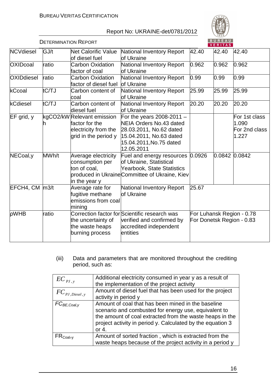

|                    | <b>DETERMINATION REPORT</b> |                                                                                              |                                                                                                                                                       |       | BUREAU<br><b>VERITAS</b> |                                                        |
|--------------------|-----------------------------|----------------------------------------------------------------------------------------------|-------------------------------------------------------------------------------------------------------------------------------------------------------|-------|--------------------------|--------------------------------------------------------|
| <b>NCVdiesel</b>   | GJ/t                        | <b>Net Calorific Value</b><br>of diesel fuel                                                 | National Inventory Report<br>of Ukraine                                                                                                               | 42.40 | 42.40                    | 42.40                                                  |
| <b>OXIDcoal</b>    | ratio                       | <b>Carbon Oxidation</b><br>factor of coal                                                    | National Inventory Report<br>of Ukraine                                                                                                               | 0.962 | 0.962                    | 0.962                                                  |
| <b>OXIDdiesel</b>  | ratio                       | <b>Carbon Oxidation</b><br>factor of diesel fuel                                             | National Inventory Report<br>of Ukraine                                                                                                               | 0.99  | 0.99                     | 0.99                                                   |
| kCcoal             | tC/TJ                       | Carbon content of<br>coal                                                                    | National Inventory Report<br>of Ukraine                                                                                                               | 25.99 | 25.99                    | 25.99                                                  |
| kCdiesel           | tC/TJ                       | Carbon content of<br>diesel fuel                                                             | National Inventory Report<br><b>of Ukraine</b>                                                                                                        | 20.20 | 20.20                    | 20.20                                                  |
| EF grid, y         |                             | kgCO2/kW Relevant emission<br>factor for the<br>electricity from the<br>grid in the period y | For the years $2008-2011 -$<br>NEIA Orders No.43 dated<br>28.03.2011, No.62 dated<br>15.04.2011, No.63 dated<br>15.04.2011, No.75 dated<br>12.05.2011 |       |                          | For 1st class<br>1.090<br>For 2nd class<br>1.227       |
| NECoal, y          | MWh/t                       | Average electricity<br>consumption per<br>ton of coal,<br>in the year y                      | Fuel and energy resources 0.0926<br>of Ukraine, Statistical<br>Yearbook, State Statistics<br>produced in Ukraine Committee of Ukraine, Kiev           |       | 0.0842 0.0842            |                                                        |
| $EFCH4, CM$ $m3/t$ |                             | Average rate for<br>fugitive methane<br>emissions from coal<br>mining                        | National Inventory Report<br>of Ukraine                                                                                                               | 25.67 |                          |                                                        |
| pWHB               | ratio                       | the uncertainty of<br>the waste heaps<br>burning process                                     | Correction factor for Scientific research was<br>verified and confirmed by<br>accredited independent<br>entities                                      |       |                          | For Luhansk Region - 0.78<br>For Donetsk Region - 0.83 |

(iii) Data and parameters that are monitored throughout the crediting period, such as:

| $EC_{pJ, y}$                                  | Additional electricity consumed in year y as a result of<br>the implementation of the project activity                                                                                                                                          |
|-----------------------------------------------|-------------------------------------------------------------------------------------------------------------------------------------------------------------------------------------------------------------------------------------------------|
| $FC_{\textit{PI},\textit{Diesel},\textit{y}}$ | Amount of diesel fuel that has been used for the project<br>activity in period y                                                                                                                                                                |
| $FC_{BE,Coal, V}$                             | Amount of coal that has been mined in the baseline<br>scenario and combusted for energy use, equivalent to<br>the amount of coal extracted from the waste heaps in the<br>project activity in period y. Calculated by the equation 3<br>or $4.$ |
| $FR_{\rm coal, y}$                            | Amount of sorted fraction, which is extracted from the<br>waste heaps because of the project activity in a period y                                                                                                                             |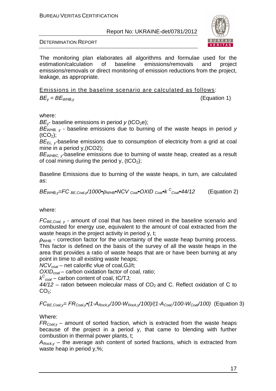

DETERMINATION REPORT

The monitoring plan elaborates all algorithms and formulae used for the estimation/calculation of baseline emissions/removals and project emissions/removals or direct monitoring of emission reductions from the project, leakage, as appropriate.

Emissions in the baseline scenario are calculated as follows:  $BE_v = BE_{WHB,v}$  (Equation 1)

where:

*BE<sub>ν</sub>*- baseline emissions in period *y* (tCO<sub>2</sub>e);

B*Е*<sup>W</sup>*НВ*, *у* - baseline emissions due to burning of the waste heaps in period y  $(tCO<sub>2</sub>)$ ;

 $BE_{FL,V}$ -baseline emissions due to consumption of electricity from a grid at coal mine in a period y,(tCO2);

 $BE<sub>WHBC</sub>$ , baseline emissions due to burning of waste heap, created as a result of coal mining during the period y,  $(tCO<sub>2</sub>)$ ;

Baseline Emissions due to burning of the waste heaps, in turn, are calculated as:

$$
BE_{\text{WHB,y}} = FC_{BE,Coal,y}/1000\cdot\rho_{\text{WHB}} \cdot NCV_{Coal} \cdot OXID_{Coal} \cdot k C_{Coal} \cdot 44/12
$$
 (Equation 2)

where:

 $FC_{BE,Coal, v}$  - amount of coal that has been mined in the baseline scenario and combusted for energy use, equivalent to the amount of coal extracted from the waste heaps in the project activity in period y, t;

 $ρ<sub>WHB</sub>$  - correction factor for the uncertainty of the waste heap burning process. This factor is defined on the basis of the survey of all the waste heaps in the area that provides a ratio of waste heaps that are or have been burning at any point in time to all existing waste heaps;

NCV*с*oal – net calorific vlue of coal,GJ/t;

OXID*с*oal – carbon oxidation factor of coal, ratio;

k C *<sup>с</sup>*oal – carbon content of coal, tС/TJ;

 $44/12$  – ration between molecular mass of CO<sub>2</sub> and C. Reflect oxidation of C to  $CO<sub>2</sub>$ ;

 $FC_{BE,Coal,v} = FR_{Coal,v}$  (1- $A_{Rock,v}/100-W_{Rock,v}/100)/(1-A_{Coal}/100-W_{Coal}/100)$  (Equation 3)

Where:

 $FR_{Coal,v}$  – amount of sorted fraction, which is extracted from the waste heaps because of the project in a period y, that came to blending with further combustion in thermal power plants, t;

 $A_{Rockv}$  – the average ash content of sorted fractions, which is extracted from waste heap in period y,%;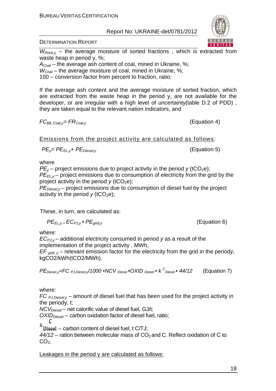DETERMINATION REPORT

 $W_{Rock,v}$  – the average moisture of sorted fractions, which is extracted from waste heap in period y, %;

 $A_{\text{Coal}}$  – the average ash content of coal, mined in Ukraine, %;

 $W_{Coal}$  – the average moisture of coal, mined in Ukraine, %;

100 – conversion factor from percent to fraction, ratio;

If the average ash content and the average moisture of sorted fraction, which are extracted from the waste heap in the period y, are not available for the developer, or are irregular with a high level of uncertainty(table D.2 of PDD) , they are taken equal to the relevant nation indicators, and

 $FC_{BE, coal,v} = FR_{Coal,v}$  (Equation 4)

Emissions from the project activity are calculated as follows:

$$
PE_{y} = PE_{EL,y} + PE_{Diesel,y}
$$

**(Equation 5)** 

where

 $PE<sub>v</sub>$  – project emissions due to project activity in the period y (tCO<sub>2</sub>e);  $P\vec{E}_{Fly}$  – project emissions due to consumption of electricity from the grid by the project activity in the period  $y$  (tCO<sub>2</sub>e);

 $PE_{\text{Diesel,v}}$  – project emissions due to consumption of diesel fuel by the project activity in the period  $y$  (tCO<sub>2</sub>e);

These, in turn, are calculated as:

$$
PE_{EL,y} = EC_{PJ,y} \bullet PE_{grid,y}
$$

 $(Equation 6)$ 

where:

 $EC_{P,J,v}$  – additional electricity consumed in period y as a result of the implementation of the project activity , MWh,

 $EF_{\text{grid}}$   $_y$  – relevant emission factor for the electricity from the grid in the periody, kgCO2/kWh(tCO2/MWh).

$$
PEDiesel,y=FCPJ,Diesel,y/1000 \cdot NCVDiesel \cdot OXIDDiesel \cdot kCDiesel \cdot 44/12
$$
 (Equation 7)

where:

FC  $PJ, Diese, Y$  – amount of diesel fuel that has been used for the project activity in the periody, t;

 $NCV<sub>Diesel</sub>$  – net calorific value of diesel fuel, GJ/t;

 $OXID<sub>Diesel</sub>$  – carbon oxidation factor of diesel fuel, ratio;

C

 $k$  Diesel – carbon content of diesel fuel, t C/TJ;

 $44/12$  – ration between molecular mass of CO<sub>2</sub> and C. Reflect oxidation of C to  $CO<sub>2</sub>$ ;

Leakages in the period y are calculated as follows:

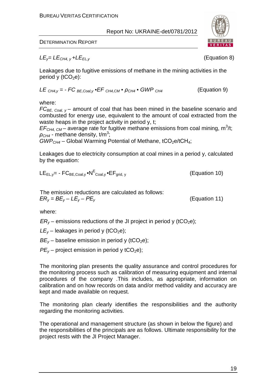

DETERMINATION REPORT

 $LE<sub>v</sub>=LE<sub>CH4. v</sub>+LE<sub>ELv</sub>$  (Equation 8)

Leakages due to fugitive emissions of methane in the mining activities in the period y  $(tCO<sub>2</sub>e)$ :

$$
LE_{CH4,y} = -FC_{BE,Coal,y} \cdot EF_{CH4,CM} \cdot \rho_{CH4} \cdot GWP_{CH4}
$$
 (Equation 9)

where:

 $FC_{BE, Coul, v}$  – amount of coal that has been mined in the baseline scenario and combusted for energy use, equivalent to the amount of coal extracted from the waste heaps in the project activity in period y, t;

 $EF<sub>CH4, CM</sub>$  – average rate for fugitive methane emissions from coal mining, m<sup>3</sup>/t;  $\rho_{CH4}$  - methane density, t/m<sup>3</sup>;

 $GWP<sub>CH4</sub>$  – Global Warming Potential of Methane, tCO<sub>2</sub>e/tCH<sub>4</sub>;

Leakages due to electricity consumption at coal mines in a period y, calculated by the equation:

$$
LE_{EL,y} = -FC_{BE,Coal,y} \cdot NP^E_{Coal,y} \cdot EF_{grid,y}
$$
 (Equation 10)

The emission reductions are calculated as follows:  $ER_v = BE_v - LE_v - PE_v$  (Equation 11)

where:

 $ER<sub>v</sub>$  – emissions reductions of the JI project in period y (tCO<sub>2</sub>e);

 $LE<sub>v</sub>$  – leakages in period y (tCO<sub>2</sub>e);

 $BE<sub>v</sub>$  – baseline emission in period y (tCO<sub>2</sub>e);

 $PE<sub>v</sub>$  – project emission in period y tCO<sub>2</sub>e);

The monitoring plan presents the quality assurance and control procedures for the monitoring process such as calibration of measuring equipment and internal procedures of the company .This includes, as appropriate, information on calibration and on how records on data and/or method validity and accuracy are kept and made available on request.

The monitoring plan clearly identifies the responsibilities and the authority regarding the monitoring activities.

The operational and management structure (as shown in below the figure) and the responsibilities of the principals are as follows. Ultimate responsibility for the project rests with the JI Project Manager.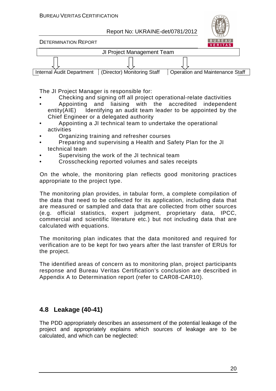

DETERMINATION REPORT



The JI Project Manager is responsible for:

- Checking and signing off all project operational-relate dactivities
- Appointing and liaising with the accredited independent entity(AIE) Identifying an audit team leader to be appointed by the Chief Engineer or a delegated authority
- Appointing a JI technical team to undertake the operational activities
- Organizing training and refresher courses
- Preparing and supervising a Health and Safety Plan for the JI technical team
- Supervising the work of the JI technical team
- Crosschecking reported volumes and sales receipts

On the whole, the monitoring plan reflects good monitoring practices appropriate to the project type.

The monitoring plan provides, in tabular form, a complete compilation of the data that need to be collected for its application, including data that are measured or sampled and data that are collected from other sources (e.g. official statistics, expert judgment, proprietary data, IPCC, commercial and scientific literature etc.) but not including data that are calculated with equations.

The monitoring plan indicates that the data monitored and required for verification are to be kept for two years after the last transfer of ERUs for the project.

The identified areas of concern as to monitoring plan, project participants response and Bureau Veritas Certification's conclusion are described in Appendix A to Determination report (refer to CAR08-CAR10).

### **4.8 Leakage (40-41)**

The PDD appropriately describes an assessment of the potential leakage of the project and appropriately explains which sources of leakage are to be calculated, and which can be neglected: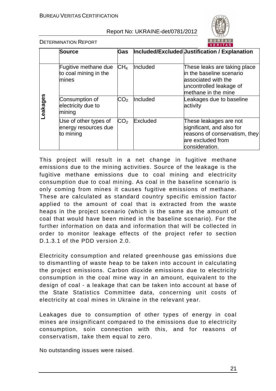

DETERMINATION REPORT

|          | <b>Source</b>                                              | <b>Gas</b>      |          | Included/Excluded Justification / Explanation                                                                                     |
|----------|------------------------------------------------------------|-----------------|----------|-----------------------------------------------------------------------------------------------------------------------------------|
|          | Fugitive methane due<br>to coal mining in the<br>mines     | CH <sub>4</sub> | Included | These leaks are taking place<br>in the baseline scenario<br>associated with the<br>uncontrolled leakage of<br>methane in the mine |
| eakages- | Consumption of<br>electricity due to<br>mining             | CO <sub>2</sub> | Included | Leakages due to baseline<br>activity                                                                                              |
|          | Use of other types of<br>energy resources due<br>to mining | CO <sub>2</sub> | Excluded | These leakages are not<br>significant, and also for<br>reasons of conservatism, they<br>are excluded from<br>consideration.       |

This project will result in a net change in fugitive methane emissions due to the mining activities. Source of the leakage is the fugitive methane emissions due to coal mining and electricity consumption due to coal mining. As coal in the baseline scenario is only coming from mines it causes fugitive emissions of methane. These are calculated as standard country specific emission factor applied to the amount of coal that is extracted from the waste heaps in the project scenario (which is the same as the amount of coal that would have been mined in the baseline scenario). For the further information on data and information that will be collected in order to monitor leakage effects of the project refer to section D.1.3.1 of the PDD version 2.0.

Electricity consumption and related greenhouse gas emissions due to dismantling of waste heap to be taken into account in calculating the project emissions. Carbon dioxide emissions due to electricity consumption in the coal mine way in an amount, equivalent to the design of coal - a leakage that can be taken into account at base of the State Statistics Committee data, concerning unit costs of electricity at coal mines in Ukraine in the relevant year.

Leakages due to consumption of other types of energy in coal mines are insignificant compared to the emissions due to electricity consumption, soin connection with this, and for reasons of conservatism, take them equal to zero.

No outstanding issues were raised.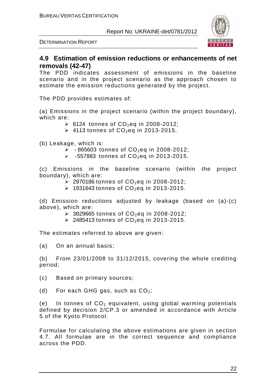

DETERMINATION REPORT

#### **4.9 Estimation of emission reductions or enhancements of net removals (42-47)**

The PDD indicates assessment of emissions in the baseline scenario and in the project scenario as the approach chosen to estimate the emission reductions generated by the project.

The PDD provides estimates of:

(a) Emissions in the project scenario (within the project boundary), which are:

- $\triangleright$  6124 tonnes of CO<sub>2</sub>eq in 2008-2012;
- $\geq$  4113 tonnes of CO<sub>2</sub>eq in 2013-2015.

(b) Leakage, which is:

- $\geq$  865603 tonnes of CO<sub>2</sub>eq in 2008-2012;
- $\geq$  -557883 tonnes of CO<sub>2</sub>eq in 2013-2015.

(c) Emissions in the baseline scenario (within the project boundary), which are:

- $\geq$  2970186 tonnes of CO<sub>2</sub>eq in 2008-2012;
- $\geq$  1931643 tonnes of CO<sub>2</sub>eq in 2013-2015.

(d) Emission reductions adjusted by leakage (based on (a)-(c) above), which are:

- $\geq$  3829665 tonnes of CO<sub>2</sub>eq in 2008-2012;
- $\geq$  2485413 tonnes of CO<sub>2</sub>eq in 2013-2015.

The estimates referred to above are given:

(a) On an annual basis;

(b) From 23/01/2008 to 31/12/2015, covering the whole crediting period;

(c) Based on primary sources;

(d) For each GHG gas, such as  $CO<sub>2</sub>$ ;

(e) In tonnes of  $CO<sub>2</sub>$  equivalent, using global warming potentials defined by decision 2/CP.3 or amended in accordance with Article 5 of the Kyoto Protocol.

Formulae for calculating the above estimations are given in section 4.7. All formulae are in the correct sequence and compliance across the PDD.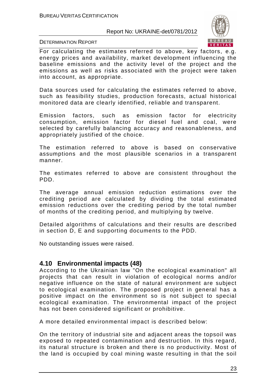

DETERMINATION REPORT

For calculating the estimates referred to above, key factors, e.g. energy prices and availability, market development influencing the baseline emissions and the activity level of the project and the emissions as well as risks associated with the project were taken into account, as appropriate.

Data sources used for calculating the estimates referred to above, such as feasibility studies, production forecasts, actual historical monitored data are clearly identified, reliable and transparent.

Emission factors, such as emission factor for electricity consumption, emission factor for diesel fuel and coal, were selected by carefully balancing accuracy and reasonableness, and appropriately justified of the choice.

The estimation referred to above is based on conservative assumptions and the most plausible scenarios in a transparent manner.

The estimates referred to above are consistent throughout the PDD.

The average annual emission reduction estimations over the crediting period are calculated by dividing the total estimated emission reductions over the crediting period by the total number of months of the crediting period, and multiplying by twelve.

Detailed algorithms of calculations and their results are described in section D, E and supporting documents to the PDD.

No outstanding issues were raised.

#### **4.10 Environmental impacts (48)**

According to the Ukrainian law "On the ecological examination" all projects that can result in violation of ecological norms and/or negative influence on the state of natural environment are subject to ecological examination. The proposed project in general has a positive impact on the environment so is not subject to special ecological examination. The environmental impact of the project has not been considered significant or prohibitive.

A more detailed environmental impact is described below:

On the territory of industrial site and adjacent areas the topsoil was exposed to repeated contamination and destruction. In this regard, its natural structure is broken and there is no productivity. Most of the land is occupied by coal mining waste resulting in that the soil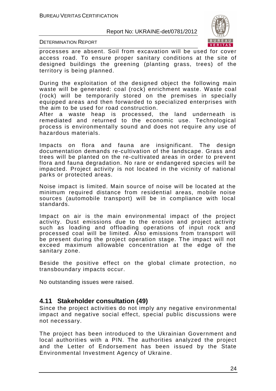

DETERMINATION REPORT

processes are absent. Soil from excavation will be used for cover access road. To ensure proper sanitary conditions at the site of designed buildings the greening (planting grass, trees) of the territory is being planned.

During the exploitation of the designed object the following main waste will be generated: coal (rock) enrichment waste. Waste coal (rock) will be temporarily stored on the premises in specially equipped areas and then forwarded to specialized enterprises with the aim to be used for road construction.

After a waste heap is processed, the land underneath is remediated and returned to the economic use. Technological process is environmentally sound and does not require any use of hazardous materials.

Impacts on flora and fauna are insignificant. The design documentation demands re-cultivation of the landscape. Grass and trees will be planted on the re-cultivated areas in order to prevent flora and fauna degradation. No rare or endangered species will be impacted. Project activity is not located in the vicinity of national parks or protected areas.

Noise impact is limited. Main source of noise will be located at the minimum required distance from residential areas, mobile noise sources (automobile transport) will be in compliance with local standards.

Impact on air is the main environmental impact of the project activity. Dust emissions due to the erosion and project activity such as loading and offloading operations of input rock and processed coal will be limited. Also emissions from transport will be present during the project operation stage. The impact will not exceed maximum allowable concentration at the edge of the sanitary zone.

Beside the positive effect on the global climate protection, no transboundary impacts occur.

No outstanding issues were raised.

#### **4.11 Stakeholder consultation (49)**

Since the project activities do not imply any negative environmental impact and negative social effect, special public discussions were not necessary.

The project has been introduced to the Ukrainian Government and local authorities with a PIN. The authorities analyzed the project and the Letter of Endorsement has been issued by the State Environmental Investment Agency of Ukraine.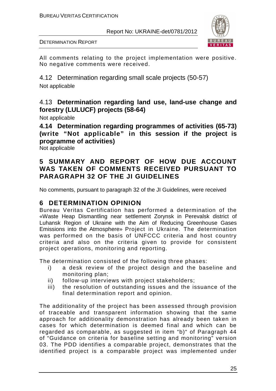

All comments relating to the project implementation were positive. No negative comments were received.

4.12 Determination regarding small scale projects (50-57) Not applicable

#### 4.13 **Determination regarding land use, land-use change and forestry (LULUCF) projects (58-64)**

Not applicable

**4.14 Determination regarding programmes of activities (65-73) (write "Not applicable" in this session if the project is programme of activities)** 

Not applicable

#### **5 SUMMARY AND REPORT OF HOW DUE ACCOUNT WAS TAKEN OF COMMENTS RECEIVED PURSUANT TO PARAGRAPH 32 OF THE JI GUIDELINES**

No comments, pursuant to paragraph 32 of the JI Guidelines, were received

#### **6 DETERMINATION OPINION**

Bureau Veritas Certification has performed a determination of the «Waste Heap Dismantling near settlement Zorynsk in Perevalsk district of Luhansk Region of Ukraine with the Aim of Reducing Greenhouse Gases Emissions into the Atmosphere» Project in Ukraine. The determination was performed on the basis of UNFCCC criteria and host country criteria and also on the criteria given to provide for consistent project operations, monitoring and reporting.

The determination consisted of the following three phases:

- i) a desk review of the project design and the baseline and monitoring plan;
- ii) follow-up interviews with project stakeholders;
- iii) the resolution of outstanding issues and the issuance of the final determination report and opinion.

The additionality of the project has been assessed through provision of traceable and transparent information showing that the same approach for additionality demonstration has already been taken in cases for which determination is deemed final and which can be regarded as comparable, as suggested in item "b)" of Paragraph 44 of "Guidance on criteria for baseline setting and monitoring" version 03. The PDD identifies a comparable project, demonstrates that the identified project is a comparable project was implemented under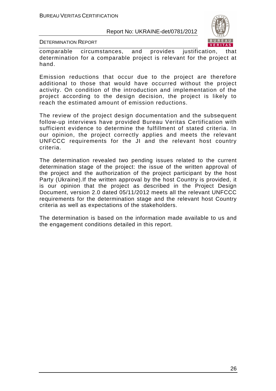

DETERMINATION REPORT

comparable circumstances, and provides justification, that determination for a comparable project is relevant for the project at hand.

Emission reductions that occur due to the project are therefore additional to those that would have occurred without the project activity. On condition of the introduction and implementation of the project according to the design decision, the project is likely to reach the estimated amount of emission reductions.

The review of the project design documentation and the subsequent follow-up interviews have provided Bureau Veritas Certification with sufficient evidence to determine the fulfillment of stated criteria. In our opinion, the project correctly applies and meets the relevant UNFCCC requirements for the JI and the relevant host country criteria.

The determination revealed two pending issues related to the current determination stage of the project: the issue of the written approval of the project and the authorization of the project participant by the host Party (Ukraine).If the written approval by the host Country is provided, it is our opinion that the project as described in the Project Design Document, version 2.0 dated 05/11/2012 meets all the relevant UNFCCC requirements for the determination stage and the relevant host Country criteria as well as expectations of the stakeholders.

The determination is based on the information made available to us and the engagement conditions detailed in this report.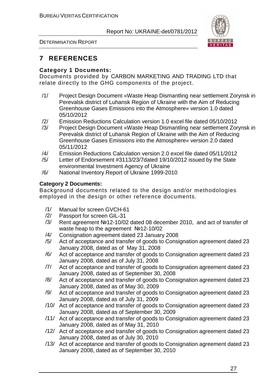

DETERMINATION REPORT

## **7 REFERENCES**

#### **Category 1 Documents:**

Documents provided by СARBON MARKETING AND TRADING LTD that relate directly to the GHG components of the project.

- /1/ Project Design Document «Waste Heap Dismantling near settlement Zorynsk in Perevalsk district of Luhansk Region of Ukraine with the Aim of Reducing Greenhouse Gases Emissions into the Atmosphere» version 1.0 dated 05/10/2012
- /2/ Emission Reductions Calculation version 1.0 excel file dated 05/10/2012
- /3/ Project Design Document «Waste Heap Dismantling near settlement Zorynsk in Perevalsk district of Luhansk Region of Ukraine with the Aim of Reducing Greenhouse Gases Emissions into the Atmosphere» version 2.0 dated 05/11/2012
- /4/ Emission Reductions Calculation version 2.0 excel file dated 05/11/2012
- /5/ Letter of Endorsement #3113/23/7dated 19/10/2012 issued by the State environmental Investment Agency of Ukraine
- /6/ National Inventory Report of Ukraine 1999-2010

#### **Category 2 Documents:**

Background documents related to the design and/or methodologies employed in the design or other reference documents.

- /1/ Manual for screen GVCH-61
- /2/ Passport for screen GIL-31
- /3/ Rent agreement №12-10/02 dated 08 december 2010, and act of transfer of waste heap to the agreement №12-10/02
- /4/ Consignation agreement dated 23 January 2008
- /5/ Act of acceptance and transfer of goods to Consignation agreement dated 23 January 2008, dated as of May 31, 2008
- /6/ Act of acceptance and transfer of goods to Consignation agreement dated 23 January 2008, dated as of July 31, 2008
- /7/ Act of acceptance and transfer of goods to Consignation agreement dated 23 January 2008, dated as of September 30, 2008
- /8/ Act of acceptance and transfer of goods to Consignation agreement dated 23 January 2008, dated as of May 30, 2009
- /9/ Act of acceptance and transfer of goods to Consignation agreement dated 23 January 2008, dated as of July 31, 2009
- /10/ Act of acceptance and transfer of goods to Consignation agreement dated 23 January 2008, dated as of September 30, 2009
- /11/ Act of acceptance and transfer of goods to Consignation agreement dated 23 January 2008, dated as of May 31, 2010
- /12/ Act of acceptance and transfer of goods to Consignation agreement dated 23 January 2008, dated as of July 30, 2010
- /13/ Act of acceptance and transfer of goods to Consignation agreement dated 23 January 2008, dated as of September 30, 2010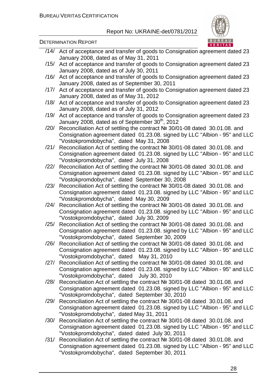

#### DETERMINATION REPORT

- /14/ Act of acceptance and transfer of goods to Consignation agreement dated 23 January 2008, dated as of May 31, 2011
- /15/ Act of acceptance and transfer of goods to Consignation agreement dated 23 January 2008, dated as of July 30, 2011
- /16/ Act of acceptance and transfer of goods to Consignation agreement dated 23 January 2008, dated as of September 30, 2011
- /17/ Act of acceptance and transfer of goods to Consignation agreement dated 23 January 2008, dated as of May 31, 2012
- /18/ Act of acceptance and transfer of goods to Consignation agreement dated 23 January 2008, dated as of July 31, 2012
- /19/ Act of acceptance and transfer of goods to Consignation agreement dated 23 January 2008, dated as of September  $30<sup>th</sup>$ , 2012
- /20/ Reconciliation Act of settling the contract № 30/01-08 dated 30.01.08. and Consignation agreement dated 01.23.08. signed by LLC "Albion - 95" and LLC "Vostokpromdobycha", dated May 31, 2008
- /21/ Reconciliation Act of settling the contract № 30/01-08 dated 30.01.08. and Consignation agreement dated 01.23.08. signed by LLC "Albion - 95" and LLC "Vostokpromdobycha", dated July 31, 2008
- /22/ Reconciliation Act of settling the contract № 30/01-08 dated 30.01.08. and Consignation agreement dated 01.23.08. signed by LLC "Albion - 95" and LLC "Vostokpromdobycha", dated September 30, 2008
- /23/ Reconciliation Act of settling the contract № 30/01-08 dated 30.01.08. and Consignation agreement dated 01.23.08. signed by LLC "Albion - 95" and LLC "Vostokpromdobycha", dated May 30, 2009
- /24/ Reconciliation Act of settling the contract № 30/01-08 dated 30.01.08. and Consignation agreement dated 01.23.08. signed by LLC "Albion - 95" and LLC "Vostokpromdobycha", dated July 30, 2009
- /25/ Reconciliation Act of settling the contract № 30/01-08 dated 30.01.08. and Consignation agreement dated 01.23.08. signed by LLC "Albion - 95" and LLC "Vostokpromdobycha", dated September 30, 2009
- /26/ Reconciliation Act of settling the contract № 30/01-08 dated 30.01.08. and Consignation agreement dated 01.23.08. signed by LLC "Albion - 95" and LLC "Vostokpromdobycha", dated May 31, 2010
- /27/ Reconciliation Act of settling the contract № 30/01-08 dated 30.01.08. and Consignation agreement dated 01.23.08. signed by LLC "Albion - 95" and LLC "Vostokpromdobycha", dated July 30, 2010
- /28/ Reconciliation Act of settling the contract № 30/01-08 dated 30.01.08. and Consignation agreement dated 01.23.08. signed by LLC "Albion - 95" and LLC "Vostokpromdobycha", dated September 30, 2010
- /29/ Reconciliation Act of settling the contract № 30/01-08 dated 30.01.08. and Consignation agreement dated 01.23.08. signed by LLC "Albion - 95" and LLC "Vostokpromdobycha", dated May 31, 2011
- /30/ Reconciliation Act of settling the contract № 30/01-08 dated 30.01.08. and Consignation agreement dated 01.23.08. signed by LLC "Albion - 95" and LLC "Vostokpromdobycha", dated dated July 30, 2011
- /31/ Reconciliation Act of settling the contract № 30/01-08 dated 30.01.08. and Consignation agreement dated 01.23.08. signed by LLC "Albion - 95" and LLC "Vostokpromdobycha", dated September 30, 2011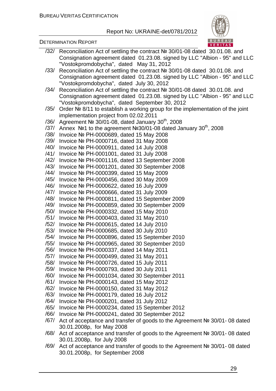#### Report No: UKRAINE-det/0781/2012



|      | /32/ Reconciliation Act of settling the contract № 30/01-08 dated 30.01.08. and                                |
|------|----------------------------------------------------------------------------------------------------------------|
|      | Consignation agreement dated 01.23.08. signed by LLC "Albion - 95" and LLC                                     |
|      | "Vostokpromdobycha", dated May 31, 2012                                                                        |
| /33/ | Reconciliation Act of settling the contract № 30/01-08 dated 30.01.08. and                                     |
|      | Consignation agreement dated 01.23.08. signed by LLC "Albion - 95" and LLC                                     |
|      | "Vostokpromdobycha", dated July 30, 2012                                                                       |
| /34/ | Reconciliation Act of settling the contract № 30/01-08 dated 30.01.08. and                                     |
|      | Consignation agreement dated 01.23.08. signed by LLC "Albion - 95" and LLC                                     |
|      | "Vostokpromdobycha", dated September 30, 2012                                                                  |
| /35/ | Order № 8/11 to establish a working group for the implementation of the joint                                  |
|      | implementation project from 02.02.2011                                                                         |
| /36/ | Agreement Nº 30/01-08, dated January 30 <sup>th</sup> , 2008                                                   |
|      | /37/ Annex $N$ <sup>o</sup> 1 to the agreement $N$ <sup>o</sup> 30/01-08 dated January 30 <sup>th</sup> , 2008 |
|      | /38/ Invoice Nº PH-0000689, dated 15 May 2008                                                                  |
| /39/ | Invoice № PH-0000716, dated 31 May 2008                                                                        |
| /40/ | Invoice № PH-0000911, dated 14 July 2008                                                                       |
| /41/ | Invoice Nº PH-0001001, dated 31 July 2008                                                                      |
| /42/ | Invoice Nº PH-0001116, dated 13 September 2008                                                                 |
| /43/ | Invoice Nº PH-0001201, dated 30 September 2008                                                                 |
| /44/ | Invoice № PH-0000399, dated 15 May 2009                                                                        |
| /45/ | Invoice № PH-0000456, dated 30 May 2009                                                                        |
| /46/ | Invoice № PH-0000622, dated 16 July 2009                                                                       |
| /47/ | Invoice № PH-0000666, dated 31 July 2009                                                                       |
| /48/ | Invoice Nº PH-0000811, dated 15 September 2009                                                                 |
| /49/ | Invoice Nº PH-0000859, dated 30 September 2009                                                                 |
| /50/ | Invoice № PH-0000332, dated 15 May 2010                                                                        |
| /51/ | Invoice № PH-0000403, dated 31 May 2010                                                                        |
| /52/ | Invoice Nº PH-0000615, dated 14 July 2010                                                                      |
| /53/ | Invoice № PH-0000685, dated 30 July 2010                                                                       |
| /54/ | Invoice Nº PH-0000896, dated 15 September 2010                                                                 |
| /55/ | Invoice Nº PH-0000965, dated 30 September 2010                                                                 |
| /56/ | Invoice № PH-0000337, dated 14 May 2011                                                                        |
| /57/ | Invoice № PH-0000499, dated 31 May 2011                                                                        |
| /58/ | Invoice Nº PH-0000726, dated 15 July 2011                                                                      |
| /59/ | Invoice № PH-0000793, dated 30 July 2011                                                                       |
| /60/ | Invoice Nº PH-0001034, dated 30 September 2011                                                                 |
| /61/ | Invoice № PH-0000143, dated 15 May 2012                                                                        |
| /62/ | Invoice № PH-0000150, dated 31 May 2012                                                                        |
| /63/ | Invoice № PH-0000179, dated 16 July 2012                                                                       |
| /64/ | Invoice № PH-0000201, dated 31 July 2012                                                                       |
| /65/ | Invoice № PH-0000234, dated 15 September 2012                                                                  |
| /66/ | Invoice Nº PH-0000241, dated 30 September 2012                                                                 |
| /67/ | Act of acceptance and transfer of goods to the Agreement № 30/01-08 dated                                      |
|      | 30.01.2008p, for May 2008                                                                                      |
| /68/ | Act of acceptance and transfer of goods to the Agreement № 30/01-08 dated                                      |
|      | 30.01.2008p, for July 2008                                                                                     |

/69/ Act of acceptance and transfer of goods to the Agreement № 30/01- 08 dated 30.01.2008р, for September 2008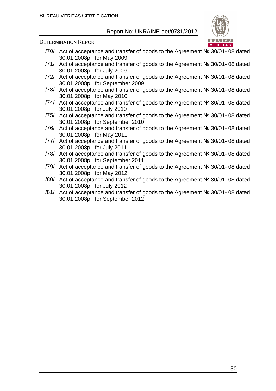

DETERMINATION REPORT

- /70/ Act of acceptance and transfer of goods to the Agreement № 30/01- 08 dated 30.01.2008р, for May 2009
- /71/ Act of acceptance and transfer of goods to the Agreement № 30/01- 08 dated 30.01.2008р, for July 2009
- /72/ Act of acceptance and transfer of goods to the Agreement № 30/01- 08 dated 30.01.2008р, for September 2009
- /73/ Act of acceptance and transfer of goods to the Agreement № 30/01- 08 dated 30.01.2008р, for May 2010
- /74/ Act of acceptance and transfer of goods to the Agreement № 30/01- 08 dated 30.01.2008р, for July 2010
- /75/ Act of acceptance and transfer of goods to the Agreement № 30/01- 08 dated 30.01.2008р, for September 2010
- /76/ Act of acceptance and transfer of goods to the Agreement № 30/01- 08 dated 30.01.2008р, for May 2011
- /77/ Act of acceptance and transfer of goods to the Agreement № 30/01- 08 dated 30.01.2008р, for July 2011
- /78/ Act of acceptance and transfer of goods to the Agreement № 30/01- 08 dated 30.01.2008р, for September 2011
- /79/ Act of acceptance and transfer of goods to the Agreement № 30/01- 08 dated 30.01.2008р, for May 2012
- /80/ Act of acceptance and transfer of goods to the Agreement № 30/01- 08 dated 30.01.2008р, for July 2012
- /81/ Act of acceptance and transfer of goods to the Agreement № 30/01- 08 dated 30.01.2008р, for September 2012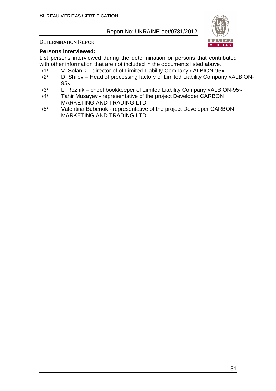

#### DETERMINATION REPORT

#### **Persons interviewed:**

List persons interviewed during the determination or persons that contributed with other information that are not included in the documents listed above.

- /1/ V. Solanik director of of Limited Liability Company «ALBION-95»
- /2/ D. Shilov Head of processing factory of Limited Liability Company «ALBION-95»
- /3/ L. Reznik cheef bookkeeper of Limited Liability Company «ALBION-95»
- /4/ Tahir Musayev representative of the project Developer СARBON MARKETING AND TRADING LTD
- /5/ Valentina Bubenok representative of the project Developer СARBON MARKETING AND TRADING LTD.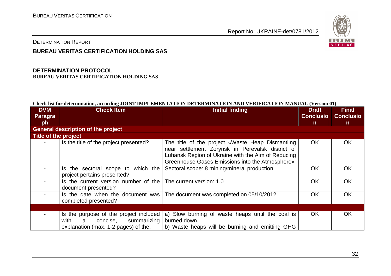

DETERMINATION REPORT

#### **BUREAU VERITAS CERTIFICATION HOLDING SAS**

#### **DETERMINATION PROTOCOL BUREAU VERITAS CERTIFICATION HOLDING SAS**

#### **Check list for determination, according JOINT IMPLEMENTATION DETERMINATION AND VERIFICATION MANUAL (Version 01)**

| <b>DVM</b>           | <b>Check Item</b>                                                                                                      | <b>Initial finding</b>                                                                                                                                                                                        | <b>Draft</b>     | <b>Final</b>     |
|----------------------|------------------------------------------------------------------------------------------------------------------------|---------------------------------------------------------------------------------------------------------------------------------------------------------------------------------------------------------------|------------------|------------------|
| Paragra              |                                                                                                                        |                                                                                                                                                                                                               | <b>Conclusio</b> | <b>Conclusio</b> |
| ph                   |                                                                                                                        |                                                                                                                                                                                                               | $\mathsf{n}$     | $\mathsf{n}$     |
|                      | <b>General description of the project</b>                                                                              |                                                                                                                                                                                                               |                  |                  |
| Title of the project |                                                                                                                        |                                                                                                                                                                                                               |                  |                  |
|                      | Is the title of the project presented?                                                                                 | The title of the project «Waste Heap Dismantling<br>near settlement Zorynsk in Perevalsk district of<br>Luhansk Region of Ukraine with the Aim of Reducing<br>Greenhouse Gases Emissions into the Atmosphere» | OK.              | OK.              |
|                      | Is the sectoral scope to which the<br>project pertains presented?                                                      | Sectoral scope: 8 mining/mineral production                                                                                                                                                                   | <b>OK</b>        | <b>OK</b>        |
|                      | Is the current version number of the The current version: 1.0<br>document presented?                                   |                                                                                                                                                                                                               | OK               | <b>OK</b>        |
|                      | completed presented?                                                                                                   | Is the date when the document was   The document was completed on 05/10/2012                                                                                                                                  | <b>OK</b>        | OK               |
|                      |                                                                                                                        |                                                                                                                                                                                                               |                  |                  |
|                      | Is the purpose of the project included<br>with<br>concise,<br>summarizing<br>a<br>explanation (max. 1-2 pages) of the: | a) Slow burning of waste heaps until the coal is<br>burned down.<br>b) Waste heaps will be burning and emitting GHG                                                                                           | <b>OK</b>        | <b>OK</b>        |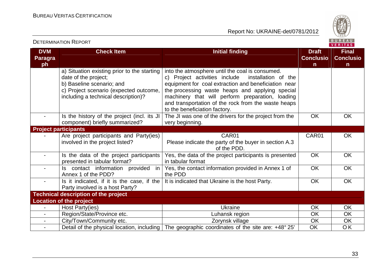Report No: UKRAINE-det/0781/2012



**VERITAS** 

#### **DVM Paragraph Check Item Draft Check Item Initial finding Check Item Draft Check Item Initial finding Check Item Initial finding ConclusionFinal Conclusion** a) Situation existing prior to the starting date of the project; b) Baseline scenario; and c) Project scenario (expected outcome, including a technical description)? into the atmosphere until the coal is consumed. installation of the c) Project activities include equipment for coal extraction and beneficiation near the processing waste heaps and applying special machinery that will perform preparation, loading and transportation of the rock from the waste heapsto the beneficiation factory. The JI was one of the drivers for the project from the Is the history of the project (incl. its JI component) briefly summarized? very beginning. OK OK **Project participants** - Are project participants and Party(ies) involved in the project listed? CAR01 Please indicate the party of the buyer in section A.3 of the PDD. Yes, the data of the project participants is presented CAR01 OK - Is the data of the project participants presented in tabular format? - **Is contact information provided in** in tabular format Yes, the contact information provided in Annex 1 ofOK OK Annex 1 of the PDD? - Is it indicated, if it is the case, if the the PDD It is indicated that Ukraine is the host Party. The Nok COK COK OK OK Party involved is a host Party? **Technical description of the project Location of the project** - | Host Party(ies) | Ukraine | OK | OK **OK** - Region/State/Province etc. And I am Luhansk region CK  $\overline{OK}$ City/Town/Community etc. <br> **Example 2018** To 2019 No Zorynsk village and DCK  $\overline{OK}$ - Detail of the physical location, including The geographic coordinates of the site are: +48° 25' OK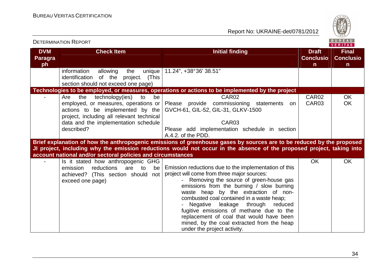Report No: UKRAINE-det/0781/2012



|                              |                                                             |                                                                                                                       |                                  | . <i>.</i>                       |
|------------------------------|-------------------------------------------------------------|-----------------------------------------------------------------------------------------------------------------------|----------------------------------|----------------------------------|
| <b>DVM</b><br><b>Paragra</b> | <b>Check Item</b>                                           | <b>Initial finding</b>                                                                                                | <b>Draft</b><br><b>Conclusio</b> | <b>Final</b><br><b>Conclusio</b> |
| ph                           |                                                             |                                                                                                                       | $\mathsf{n}$                     | $\mathsf{n}$                     |
|                              | information<br>allowing<br>the<br>unique                    | 11.24", +38°36' 38.51"                                                                                                |                                  |                                  |
|                              | identification of the project. (This                        |                                                                                                                       |                                  |                                  |
|                              | section should not exceed one page)                         |                                                                                                                       |                                  |                                  |
|                              |                                                             | Technologies to be employed, or measures, operations or actions to be implemented by the project                      |                                  |                                  |
|                              | the<br>technology(ies)<br>to<br>be<br>Are                   | CAR <sub>02</sub>                                                                                                     | CAR02                            | OK                               |
|                              |                                                             | employed, or measures, operations or Please provide commissioning statements<br>on                                    | CAR03                            | OK                               |
|                              |                                                             | actions to be implemented by the $\vert$ GVCH-61, GIL-52, GIL-31, GLKV-1500                                           |                                  |                                  |
|                              | project, including all relevant technical                   |                                                                                                                       |                                  |                                  |
|                              | data and the implementation schedule                        | CAR <sub>03</sub>                                                                                                     |                                  |                                  |
|                              | described?                                                  | Please add implementation schedule in section                                                                         |                                  |                                  |
|                              |                                                             | A.4.2. of the PDD.                                                                                                    |                                  |                                  |
|                              |                                                             |                                                                                                                       |                                  |                                  |
|                              |                                                             | Brief explanation of how the anthropogenic emissions of greenhouse gases by sources are to be reduced by the proposed |                                  |                                  |
|                              |                                                             | JI project, including why the emission reductions would not occur in the absence of the proposed project, taking into |                                  |                                  |
|                              | account national and/or sectoral policies and circumstances |                                                                                                                       |                                  |                                  |
|                              | Is it stated how anthropogenic GHG                          |                                                                                                                       | <b>OK</b>                        | OK                               |
|                              | reductions<br>are<br>emission<br>to<br>be                   | Emission reductions due to the implementation of this                                                                 |                                  |                                  |
|                              | achieved? (This section should not                          | project will come from three major sources:                                                                           |                                  |                                  |
|                              | exceed one page)                                            | Removing the source of green-house gas                                                                                |                                  |                                  |
|                              |                                                             | emissions from the burning / slow burning                                                                             |                                  |                                  |
|                              |                                                             | waste heap by the extraction of non-                                                                                  |                                  |                                  |
|                              |                                                             | combusted coal contained in a waste heap;                                                                             |                                  |                                  |
|                              |                                                             | Negative<br>leakage through<br>reduced                                                                                |                                  |                                  |
|                              |                                                             | fugitive emissions of methane due to the                                                                              |                                  |                                  |
|                              |                                                             | replacement of coal that would have been                                                                              |                                  |                                  |
|                              |                                                             | mined, by the coal extracted from the heap                                                                            |                                  |                                  |
|                              |                                                             | under the project activity.                                                                                           |                                  |                                  |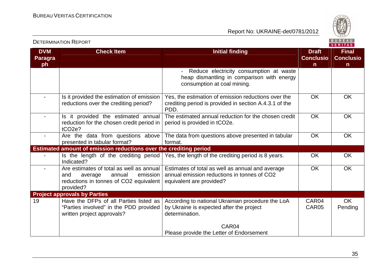Report No: UKRAINE-det/0781/2012



**VERITAS** 

**DVM Paragraph Check Item Initial finding Check Item Initial finding Check Item Initial finding Initial finding Check Item Initial finding Initial finding Initial finding Initial finding Initial finding Initial finding Initial finding I ConclusionFinal Conclusion** Reduce electricity consumption at waste heap dismantling in comparison with energy consumption at coal mining. Is it provided the estimation of emission reductions over the crediting period? Yes, the estimation of emission reductions over the crediting period is provided in section A.4.3.1 of the PDD. The estimated annual reduction for the chosen credit OK OK - Is it provided the estimated annual reduction for the chosen credit period in tCO2e? -  $\vert$  Are the data from questions above period is provided in tCO2e. OK OK presented in tabular format? **Estimated amount of emission reductions over the crediting period** The data from questions above presented in tabular format. OK OK Yes, the length of the crediting period is 8 years. OK OK Is the length of the crediting period Indicated? - Are estimates of total as well as annual and average annual emission reductions in tonnes of CO2 equivalent provided? **Project approvals by Parties** Estimates of total as well as annual and average annual emission reductions in tonnes of CO2 equivalent are provided? OK OK 19 Have the DFPs of all Parties listed as "Parties involved" in the PDD provided written project approvals? According to national Ukrainian procedure the LoA by Ukraine is expected after the project determination. CAR<sub>04</sub> Please provide the Letter of Endorsement CAR04 CAR05 OK Pending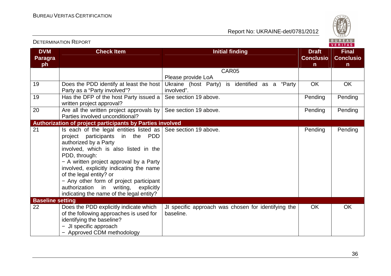

| <b>DVM</b><br>Paragra<br>ph | <b>Check Item</b>                                                                                                                                                                                                                                                                                                                                                                                                                               | <b>Initial finding</b>                                           | <b>Draft</b><br><b>Conclusio</b><br>n. | <b>Final</b><br><b>Conclusio</b><br>n. |
|-----------------------------|-------------------------------------------------------------------------------------------------------------------------------------------------------------------------------------------------------------------------------------------------------------------------------------------------------------------------------------------------------------------------------------------------------------------------------------------------|------------------------------------------------------------------|----------------------------------------|----------------------------------------|
|                             |                                                                                                                                                                                                                                                                                                                                                                                                                                                 | CAR05                                                            |                                        |                                        |
|                             |                                                                                                                                                                                                                                                                                                                                                                                                                                                 | Please provide LoA                                               |                                        |                                        |
| 19                          | Does the PDD identify at least the host<br>Party as a "Party involved"?                                                                                                                                                                                                                                                                                                                                                                         | Ukraine (host Party) is identified as a "Party<br>involved".     | <b>OK</b>                              | <b>OK</b>                              |
| 19                          | Has the DFP of the host Party issued a<br>written project approval?                                                                                                                                                                                                                                                                                                                                                                             | See section 19 above.                                            | Pending                                | Pending                                |
| 20                          | Are all the written project approvals by $\vert$ See section 19 above.<br>Parties involved unconditional?                                                                                                                                                                                                                                                                                                                                       |                                                                  | Pending                                | Pending                                |
|                             | Authorization of project participants by Parties involved                                                                                                                                                                                                                                                                                                                                                                                       |                                                                  |                                        |                                        |
| 21                          | Is each of the legal entities listed as $\vert$ See section 19 above.<br>project participants<br>in the PDD<br>authorized by a Party<br>involved, which is also listed in the<br>PDD, through:<br>- A written project approval by a Party<br>involved, explicitly indicating the name<br>of the legal entity? or<br>- Any other form of project participant<br>authorization in writing, explicitly<br>indicating the name of the legal entity? |                                                                  | Pending                                | Pending                                |
| <b>Baseline setting</b>     |                                                                                                                                                                                                                                                                                                                                                                                                                                                 |                                                                  |                                        | <b>OK</b>                              |
| 22                          | Does the PDD explicitly indicate which<br>of the following approaches is used for<br>identifying the baseline?<br>- JI specific approach<br>- Approved CDM methodology                                                                                                                                                                                                                                                                          | JI specific approach was chosen for identifying the<br>baseline. | <b>OK</b>                              |                                        |

#### DETERMINATION REPORT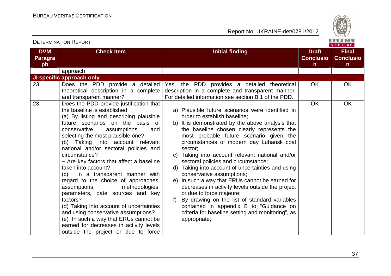Report No: UKRAINE-det/0781/2012



| <b>DVM</b><br><b>Paragra</b> | <b>Check Item</b>                                                                                                                                                                                                                                                                                                                                                                                                                                                                                                                                                                                                                                                                                                                                                             | <b>Initial finding</b>                                                                                                                                                                                                                                                                                                                                                                                                                                                                                                                                                                                                                                                                                                                                                       | <b>Draft</b><br><b>Conclusio</b> | <b>Final</b><br><b>Conclusio</b> |
|------------------------------|-------------------------------------------------------------------------------------------------------------------------------------------------------------------------------------------------------------------------------------------------------------------------------------------------------------------------------------------------------------------------------------------------------------------------------------------------------------------------------------------------------------------------------------------------------------------------------------------------------------------------------------------------------------------------------------------------------------------------------------------------------------------------------|------------------------------------------------------------------------------------------------------------------------------------------------------------------------------------------------------------------------------------------------------------------------------------------------------------------------------------------------------------------------------------------------------------------------------------------------------------------------------------------------------------------------------------------------------------------------------------------------------------------------------------------------------------------------------------------------------------------------------------------------------------------------------|----------------------------------|----------------------------------|
| ph                           |                                                                                                                                                                                                                                                                                                                                                                                                                                                                                                                                                                                                                                                                                                                                                                               |                                                                                                                                                                                                                                                                                                                                                                                                                                                                                                                                                                                                                                                                                                                                                                              | $\mathsf{n}$                     | $\mathsf{n}$                     |
|                              | approach                                                                                                                                                                                                                                                                                                                                                                                                                                                                                                                                                                                                                                                                                                                                                                      |                                                                                                                                                                                                                                                                                                                                                                                                                                                                                                                                                                                                                                                                                                                                                                              |                                  |                                  |
|                              | JI specific approach only                                                                                                                                                                                                                                                                                                                                                                                                                                                                                                                                                                                                                                                                                                                                                     |                                                                                                                                                                                                                                                                                                                                                                                                                                                                                                                                                                                                                                                                                                                                                                              |                                  |                                  |
| 23                           | Does the PDD provide a detailed<br>theoretical description in a complete<br>and transparent manner?                                                                                                                                                                                                                                                                                                                                                                                                                                                                                                                                                                                                                                                                           | Yes, the PDD provides a detailed theoretical<br>description in a complete and transparent manner.<br>For detailed information see section B.1 of the PDD.                                                                                                                                                                                                                                                                                                                                                                                                                                                                                                                                                                                                                    | <b>OK</b>                        | <b>OK</b>                        |
| 23                           | Does the PDD provide justification that<br>the baseline is established:<br>(a) By listing and describing plausible<br>future scenarios on the basis of<br>conservative<br>assumptions<br>and<br>selecting the most plausible one?<br>(b) Taking into account relevant<br>national and/or sectoral policies and<br>circumstance?<br>- Are key factors that affect a baseline<br>taken into account?<br>(c) In a transparent manner with<br>regard to the choice of approaches,<br>methodologies,<br>assumptions,<br>parameters, date sources and key<br>factors?<br>(d) Taking into account of uncertainties<br>and using conservative assumptions?<br>(e) In such a way that ERUs cannot be<br>earned for decreases in activity levels<br>outside the project or due to force | a) Plausible future scenarios were identified in<br>order to establish baseline;<br>b) It is demonstrated by the above analysis that<br>the baseline chosen clearly represents the<br>most probable future scenario given the<br>circumstances of modern day Luhansk coal<br>sector;<br>Taking into account relevant national and/or<br>C)<br>sectoral policies and circumstance;<br>d) Taking into account of uncertainties and using<br>conservative assumptions;<br>e) In such a way that ERUs cannot be earned for<br>decreases in activity levels outside the project<br>or due to force majeure;<br>By drawing on the list of standard variables<br>f)<br>contained in appendix B to "Guidance on<br>criteria for baseline setting and monitoring", as<br>appropriate; | OK                               | <b>OK</b>                        |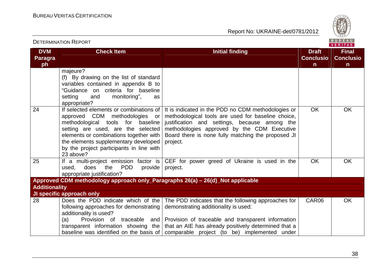

| <b>DETERMINATION REPORT</b>        |                                                                                                                                                                                                                                                                                                |                                                                                                                                                                                                                                                                                      | BUREAU<br>VERITAS                                |                                                  |
|------------------------------------|------------------------------------------------------------------------------------------------------------------------------------------------------------------------------------------------------------------------------------------------------------------------------------------------|--------------------------------------------------------------------------------------------------------------------------------------------------------------------------------------------------------------------------------------------------------------------------------------|--------------------------------------------------|--------------------------------------------------|
| <b>DVM</b><br><b>Paragra</b><br>ph | <b>Check Item</b>                                                                                                                                                                                                                                                                              | <b>Initial finding</b>                                                                                                                                                                                                                                                               | <b>Draft</b><br><b>Conclusio</b><br>$\mathsf{n}$ | <b>Final</b><br><b>Conclusio</b><br>$\mathsf{n}$ |
|                                    | majeure?<br>(f) By drawing on the list of standard<br>variables contained in appendix B to<br>"Guidance on criteria for baseline<br>monitoring",<br>setting<br>and<br>as<br>appropriate?                                                                                                       |                                                                                                                                                                                                                                                                                      |                                                  |                                                  |
| 24                                 | If selected elements or combinations of<br>approved CDM methodologies or<br>methodological tools for baseline<br>setting are used, are the selected<br>elements or combinations together with<br>the elements supplementary developed<br>by the project participants in line with<br>23 above? | It is indicated in the PDD no CDM methodologies or<br>methodological tools are used for baseline choice,<br>justification and settings, because among the<br>methodologies approved by the CDM Executive<br>Board there is none fully matching the proposed JI<br>project.           | <b>OK</b>                                        | <b>OK</b>                                        |
| 25                                 | the PDD<br>does<br>provide<br>used.<br>appropriate justification?                                                                                                                                                                                                                              | If a multi-project emission factor is CEF for power greed of Ukraine is used in the<br>project.                                                                                                                                                                                      | <b>OK</b>                                        | <b>OK</b>                                        |
|                                    | Approved CDM methodology approach only_Paragraphs 26(a) - 26(d)_Not applicable                                                                                                                                                                                                                 |                                                                                                                                                                                                                                                                                      |                                                  |                                                  |
| <b>Additionality</b>               |                                                                                                                                                                                                                                                                                                |                                                                                                                                                                                                                                                                                      |                                                  |                                                  |
|                                    | JI specific approach only                                                                                                                                                                                                                                                                      |                                                                                                                                                                                                                                                                                      |                                                  |                                                  |
| 28                                 | Does the PDD indicate which of the<br>following approaches for demonstrating<br>additionality is used?<br>(a)<br>transparent information showing the<br>baseline was identified on the basis of                                                                                                | The PDD indicates that the following approaches for<br>demonstrating additionality is used:<br>Provision of traceable and Provision of traceable and transparent information<br>that an AIE has already positively determined that a<br>comparable project (to be) implemented under | CAR06                                            | <b>OK</b>                                        |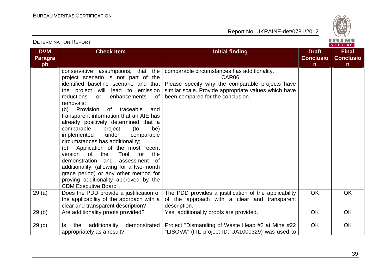

| <b>DVM</b><br><b>Paragra</b> | <b>Check Item</b>                                                                                                                                                                                                                                                                                                                                                                                                                                                                                                                                                                                                                                                                                                                                                     | <b>Initial finding</b>                                                                                                                                                                               | <b>Draft</b><br><b>Conclusio</b> | <b>Final</b><br><b>Conclusio</b> |
|------------------------------|-----------------------------------------------------------------------------------------------------------------------------------------------------------------------------------------------------------------------------------------------------------------------------------------------------------------------------------------------------------------------------------------------------------------------------------------------------------------------------------------------------------------------------------------------------------------------------------------------------------------------------------------------------------------------------------------------------------------------------------------------------------------------|------------------------------------------------------------------------------------------------------------------------------------------------------------------------------------------------------|----------------------------------|----------------------------------|
| ph                           |                                                                                                                                                                                                                                                                                                                                                                                                                                                                                                                                                                                                                                                                                                                                                                       |                                                                                                                                                                                                      | $\mathsf{n}$                     | n.                               |
|                              | conservative assumptions, that the<br>project scenario is not part of the<br>identified baseline scenario and that<br>the project will lead to emission<br>reductions<br>enhancements<br>of<br><b>or</b><br>removals:<br>(b) Provision<br>of traceable<br>and<br>transparent information that an AIE has<br>already positively determined that a<br>comparable<br>project<br>(to<br>be)<br>implemented<br>under<br>comparable<br>circumstances has additionality;<br>Application of the most recent<br>(c)<br>of b<br>"Tool<br>version<br>the<br>for<br>the<br>demonstration<br>and<br>assessment<br>of<br>additionality. (allowing for a two-month<br>grace period) or any other method for<br>proving additionality approved by the<br><b>CDM Executive Board".</b> | comparable circumstances has additionality.<br>CAR06<br>Please specify why the comparable projects have<br>similar scale. Provide appropriate values which have<br>been compared for the conclusion. |                                  |                                  |
| 29(a)                        | Does the PDD provide a justification of<br>the applicability of the approach with a<br>clear and transparent description?                                                                                                                                                                                                                                                                                                                                                                                                                                                                                                                                                                                                                                             | The PDD provides a justification of the applicability<br>of the approach with a clear and transparent<br>description.                                                                                | OK                               | OK                               |
| 29(b)                        | Are additionality proofs provided?                                                                                                                                                                                                                                                                                                                                                                                                                                                                                                                                                                                                                                                                                                                                    | Yes, additionality proofs are provided.                                                                                                                                                              | OK                               | OK                               |
| 29 <sub>(c)</sub>            | additionality<br>the<br>demonstrated<br>Is<br>appropriately as a result?                                                                                                                                                                                                                                                                                                                                                                                                                                                                                                                                                                                                                                                                                              | Project "Dismantling of Waste Heap #2 at Mine #22<br>"LISOVA" (ITL project ID: UA1000329) was used to                                                                                                | OK                               | OK                               |

#### DETERMINATION REPORT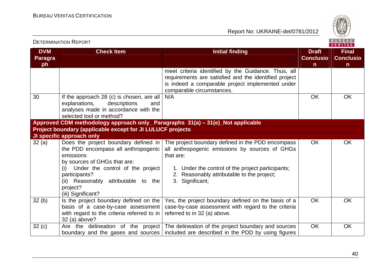

| <b>DETERMINATION REPORT</b> |                                                                                                                                                                                                                                                               |                                                                                                                                                                                                                                        | BUREAU<br><b>VERITAS</b>                         |                                       |
|-----------------------------|---------------------------------------------------------------------------------------------------------------------------------------------------------------------------------------------------------------------------------------------------------------|----------------------------------------------------------------------------------------------------------------------------------------------------------------------------------------------------------------------------------------|--------------------------------------------------|---------------------------------------|
| <b>DVM</b><br>Paragra<br>ph | <b>Check Item</b>                                                                                                                                                                                                                                             | <b>Initial finding</b>                                                                                                                                                                                                                 | <b>Draft</b><br><b>Conclusio</b><br>$\mathsf{n}$ | <b>Final</b><br><b>Conclusio</b><br>n |
|                             |                                                                                                                                                                                                                                                               | meet criteria identified by the Guidance. Thus, all<br>requirements are satisfied and the identified project<br>is indeed a comparable project implemented under<br>comparable circumstances.                                          |                                                  |                                       |
| 30                          | If the approach 28 (c) is chosen, are all<br>explanations,<br>descriptions<br>and<br>analyses made in accordance with the<br>selected tool or method?                                                                                                         | N/A                                                                                                                                                                                                                                    | <b>OK</b>                                        | OK                                    |
|                             | Approved CDM methodology approach only_ Paragraphs 31(a) - 31(e)_Not applicable                                                                                                                                                                               |                                                                                                                                                                                                                                        |                                                  |                                       |
|                             | Project boundary (applicable except for JI LULUCF projects<br>JI specific approach only                                                                                                                                                                       |                                                                                                                                                                                                                                        |                                                  |                                       |
| 32(a)                       | Does the project boundary defined in<br>the PDD encompass all anthropogenic<br>emissions<br>by sources of GHGs that are:<br>(i) Under the control of the project<br>participants?<br>Reasonably attributable to the<br>(ii)<br>project?<br>(iii) Significant? | The project boundary defined in the PDD encompass<br>all anthropogenic emissions by sources of GHGs<br>that are:<br>1. Under the control of the project participants;<br>2. Reasonably attributable to the project;<br>3. Significant; | <b>OK</b>                                        | <b>OK</b>                             |
| 32(b)                       | Is the project boundary defined on the $ $<br>basis of a case-by-case assessment<br>with regard to the criteria referred to in<br>32 (a) above?                                                                                                               | Yes, the project boundary defined on the basis of a<br>case-by-case assessment with regard to the criteria<br>referred to in 32 (a) above.                                                                                             | <b>OK</b>                                        | <b>OK</b>                             |
| 32(c)                       |                                                                                                                                                                                                                                                               | Are the delineation of the project   The delineation of the project boundary and sources<br>boundary and the gases and sources   included are described in the PDD by using figures                                                    | <b>OK</b>                                        | OK                                    |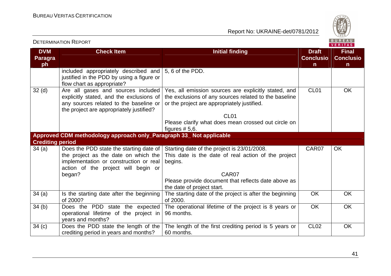

|                              |                                                                                    |                                                                                     |                                  | 1.1111777                        |
|------------------------------|------------------------------------------------------------------------------------|-------------------------------------------------------------------------------------|----------------------------------|----------------------------------|
| <b>DVM</b><br><b>Paragra</b> | <b>Check Item</b>                                                                  | <b>Initial finding</b>                                                              | <b>Draft</b><br><b>Conclusio</b> | <b>Final</b><br><b>Conclusio</b> |
| ph                           |                                                                                    |                                                                                     | $\mathsf{n}$                     | n.                               |
|                              | included appropriately described and<br>justified in the PDD by using a figure or  | 5, 6 of the PDD.                                                                    |                                  |                                  |
|                              | flow chart as appropriate?                                                         |                                                                                     |                                  |                                  |
| 32 <sub>(d)</sub>            | Are all gases and sources included                                                 | Yes, all emission sources are explicitly stated, and                                | CL <sub>01</sub>                 | <b>OK</b>                        |
|                              | explicitly stated, and the exclusions of                                           | the exclusions of any sources related to the baseline                               |                                  |                                  |
|                              | any sources related to the baseline or<br>the project are appropriately justified? | or the project are appropriately justified.                                         |                                  |                                  |
|                              |                                                                                    | CL <sub>01</sub>                                                                    |                                  |                                  |
|                              |                                                                                    | Please clarify what does mean crossed out circle on                                 |                                  |                                  |
|                              |                                                                                    | figures $# 5,6.$                                                                    |                                  |                                  |
|                              | Approved CDM methodology approach only_Paragraph 33_ Not applicable                |                                                                                     |                                  |                                  |
| <b>Crediting period</b>      |                                                                                    |                                                                                     |                                  |                                  |
| 34(a)                        |                                                                                    | Does the PDD state the starting date of Starting date of the project is 23/01/2008. | CAR07                            | <b>OK</b>                        |
|                              | the project as the date on which the                                               | This date is the date of real action of the project                                 |                                  |                                  |
|                              | implementation or construction or real                                             | begins.                                                                             |                                  |                                  |
|                              | action of the project will begin or                                                |                                                                                     |                                  |                                  |
|                              | began?                                                                             | CAR07                                                                               |                                  |                                  |
|                              |                                                                                    | Please provide document that reflects date above as                                 |                                  |                                  |
|                              |                                                                                    | the date of project start.                                                          |                                  |                                  |
| 34(a)                        | Is the starting date after the beginning                                           | The starting date of the project is after the beginning                             | <b>OK</b>                        | <b>OK</b>                        |
|                              | of 2000?                                                                           | of 2000.                                                                            |                                  |                                  |
| 34(b)                        | Does the PDD state the expected                                                    | The operational lifetime of the project is 8 years or                               | OK                               | <b>OK</b>                        |
|                              | operational lifetime of the project in                                             | 96 months.                                                                          |                                  |                                  |
|                              | years and months?                                                                  |                                                                                     |                                  |                                  |
| 34 <sub>(c)</sub>            | Does the PDD state the length of the                                               | The length of the first crediting period is 5 years or                              | <b>CL02</b>                      | <b>OK</b>                        |
|                              | crediting period in years and months?                                              | 60 months.                                                                          |                                  |                                  |

#### DETERMINATION REPORT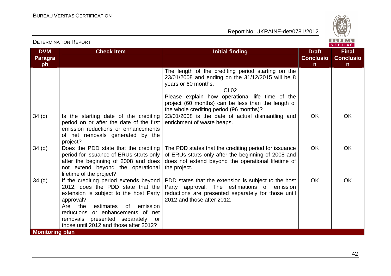Report No: UKRAINE-det/0781/2012



**VERITAS** 

#### **DVM Paragraph Check Item Initial finding Check Item Initial finding Check Item Initial finding Initial finding Draft Initial finding ConclusionFinal Conclusion** The length of the crediting period starting on the 23/01/2008 and ending on the 31/12/2015 will be 8 years or 60 months. CL02 Please explain how operational life time of the project (60 months) can be less than the length of the whole crediting period (96 months)? 23/01/2008 is the date of actual dismantling and  $34$  (c) Is the starting date of the crediting period on or after the date of the first emission reductions or enhancements of net removals generated by the project?  $34$  (d)  $\Box$  Does the PDD state that the crediting enrichment of waste heaps. OK OK period for issuance of ERUs starts only after the beginning of 2008 and does not extend beyond the operational lifetime of the project?  $34$  (d) If the crediting period extends beyond The PDD states that the crediting period for issuance of ERUs starts only after the beginning of 2008 and does not extend beyond the operational lifetime of the project. OK OK 2012, does the PDD state that the extension is subject to the host Party approval? Are the estimates of emission reductions or enhancements of net removals presented separately for those until 2012 and those after 2012? PDD states that the extension is subject to the host Party approval. The estimations of emission reductions are presented separately for those until2012 and those after 2012. OK OK **Monitoring plan**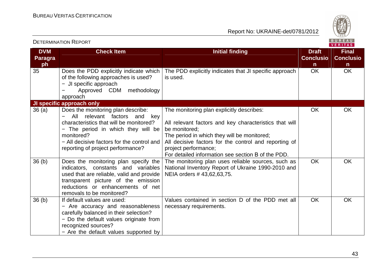

|                                    |                                                                                                                                                                                                                                                               |                                                                                                                                                                                                                                                                                                            |                                                  | <b>VERITAS</b>                                   |
|------------------------------------|---------------------------------------------------------------------------------------------------------------------------------------------------------------------------------------------------------------------------------------------------------------|------------------------------------------------------------------------------------------------------------------------------------------------------------------------------------------------------------------------------------------------------------------------------------------------------------|--------------------------------------------------|--------------------------------------------------|
| <b>DVM</b><br><b>Paragra</b><br>ph | <b>Check Item</b>                                                                                                                                                                                                                                             | <b>Initial finding</b>                                                                                                                                                                                                                                                                                     | <b>Draft</b><br><b>Conclusio</b><br>$\mathsf{n}$ | <b>Final</b><br><b>Conclusio</b><br>$\mathsf{n}$ |
| 35                                 | Does the PDD explicitly indicate which<br>of the following approaches is used?<br>- JI specific approach<br>methodology<br>Approved CDM<br>approach                                                                                                           | The PDD explicitly indicates that JI specific approach<br>is used.                                                                                                                                                                                                                                         | OK                                               | <b>OK</b>                                        |
|                                    | JI specific approach only                                                                                                                                                                                                                                     |                                                                                                                                                                                                                                                                                                            |                                                  |                                                  |
| 36(a)                              | Does the monitoring plan describe:<br>All<br>relevant factors<br>and<br>key<br>characteristics that will be monitored?<br>- The period in which they will be<br>monitored?<br>- All decisive factors for the control and<br>reporting of project performance? | The monitoring plan explicitly describes:<br>All relevant factors and key characteristics that will<br>be monitored;<br>The period in which they will be monitored;<br>All decisive factors for the control and reporting of<br>project performance;<br>For detailed information see section B of the PDD. | <b>OK</b>                                        | <b>OK</b>                                        |
| 36 <sub>(b)</sub>                  | Does the monitoring plan specify the<br>indicators, constants and variables<br>used that are reliable, valid and provide<br>transparent picture of the emission<br>reductions or enhancements of net<br>removals to be monitored?                             | The monitoring plan uses reliable sources, such as<br>National Inventory Report of Ukraine 1990-2010 and<br>NEIA orders #43,62,63,75.                                                                                                                                                                      | <b>OK</b>                                        | <b>OK</b>                                        |
| 36 <sub>(b)</sub>                  | If default values are used:<br>- Are accuracy and reasonableness<br>carefully balanced in their selection?<br>- Do the default values originate from<br>recognized sources?<br>- Are the default values supported by                                          | Values contained in section D of the PDD met all<br>necessary requirements.                                                                                                                                                                                                                                | <b>OK</b>                                        | <b>OK</b>                                        |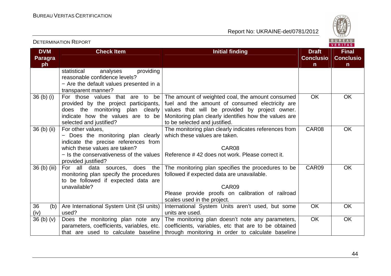

**VERITAS** 

#### **DVM Paragraph Check Item Initial finding Check Item Initial finding Check Item Initial finding Initial finding Draft Initial finding ConclusionFinal Conclusion** statistical analyses providing reasonable confidence levels? − Are the default values presented in a transparent manner? 36 (b) (i)  $\vert$  For those values that are to be provided by the project participants, does the monitoring plan clearly indicate how the values are to be selected and justified? The amount of weighted coal, the amount consumed fuel and the amount of consumed electricity are values that will be provided by project owner. Monitoring plan clearly identifies how the values are to be selected and justified. The monitoring plan clearly indicates references from OK OK 36 (b) (ii) For other values, − Does the monitoring plan clearly indicate the precise references from which these values are taken? − Is the conservativeness of the values Reference # 42 does not work. Please correct it. provided justified? For all data sources, does the which these values are taken. CAR08 CAR08 OK 36 (b) (iii)monitoring plan specify the procedures to be followed if expected data are unavailable? The monitoring plan specifies the procedures to be followed if expected data are unavailable. CAR09 Please provide proofs on calibration of railroad scales used in the project. International System Units aren't used, but some CAR09 OK 36 (b) (iv)  $36(b)(v)$ Are International System Unit (SI units) used?  $36$  (b) (v) Does the monitoring plan note any units are used. The monitoring plan doesn't note any parameters, OK OK parameters, coefficients, variables, etc. that are used to calculate baseline coefficients, variables, etc that are to be obtained through monitoring in order to calculate baseline OK OK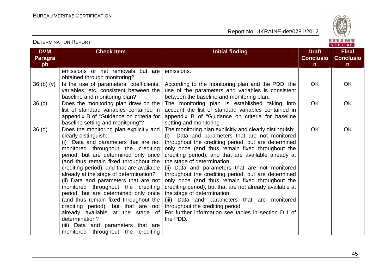

| <b>DVM</b><br>Paragra | <b>Check Item</b>                                                                                                                                                                                                                                                                                                                                                                                                                                                                                                                                                                                                                                               | <b>Initial finding</b>                                                                                                                                                                                                                                                                                                                                                                                                                                                                                                                                                                                                                                                                                                        | <b>Draft</b><br><b>Conclusio</b> | <b>Final</b><br><b>Conclusio</b> |
|-----------------------|-----------------------------------------------------------------------------------------------------------------------------------------------------------------------------------------------------------------------------------------------------------------------------------------------------------------------------------------------------------------------------------------------------------------------------------------------------------------------------------------------------------------------------------------------------------------------------------------------------------------------------------------------------------------|-------------------------------------------------------------------------------------------------------------------------------------------------------------------------------------------------------------------------------------------------------------------------------------------------------------------------------------------------------------------------------------------------------------------------------------------------------------------------------------------------------------------------------------------------------------------------------------------------------------------------------------------------------------------------------------------------------------------------------|----------------------------------|----------------------------------|
| ph                    | emissions or net removals but are<br>obtained through monitoring?                                                                                                                                                                                                                                                                                                                                                                                                                                                                                                                                                                                               | emissions.                                                                                                                                                                                                                                                                                                                                                                                                                                                                                                                                                                                                                                                                                                                    | n                                | $\mathsf{n}$                     |
| 36(b)(v)              | Is the use of parameters, coefficients,<br>variables, etc. consistent between the<br>baseline and monitoring plan?                                                                                                                                                                                                                                                                                                                                                                                                                                                                                                                                              | According to the monitoring plan and the PDD, the<br>use of the parameters and variables is consistent<br>between the baseline and monitoring plan.                                                                                                                                                                                                                                                                                                                                                                                                                                                                                                                                                                           | <b>OK</b>                        | <b>OK</b>                        |
| 36 <sub>(c)</sub>     | Does the monitoring plan draw on the<br>list of standard variables contained in<br>appendix B of "Guidance on criteria for<br>baseline setting and monitoring"?                                                                                                                                                                                                                                                                                                                                                                                                                                                                                                 | The monitoring plan is established taking into<br>account the list of standard variables contained in<br>appendix B of "Guidance on criteria for baseline<br>setting and monitoring".                                                                                                                                                                                                                                                                                                                                                                                                                                                                                                                                         | OK                               | OK                               |
| 36 <sub>(d)</sub>     | Does the monitoring plan explicitly and<br>clearly distinguish:<br>(i) Data and parameters that are not<br>monitored throughout the crediting<br>period, but are determined only once<br>(and thus remain fixed throughout the<br>crediting period), and that are available<br>already at the stage of determination?<br>(ii) Data and parameters that are not<br>monitored throughout the crediting<br>period, but are determined only once<br>(and thus remain fixed throughout the<br>crediting period), but that are not<br>already available at the stage of<br>determination?<br>(iii) Data and parameters that are<br>monitored throughout the crediting | The monitoring plan explicitly and clearly distinguish:<br>Data and parameters that are not monitored<br>(i)<br>throughout the crediting period, but are determined<br>only once (and thus remain fixed throughout the<br>crediting period), and that are available already at<br>the stage of determination.<br>(ii) Data and parameters that are not monitored<br>throughout the crediting period, but are determined<br>only once (and thus remain fixed throughout the<br>crediting period), but that are not already available at<br>the stage of determination.<br>(iii) Data and parameters that are monitored<br>throughout the crediting period.<br>For further information see tables in section D.1 of<br>the PDD. | <b>OK</b>                        | <b>OK</b>                        |

#### DETERMINATION REPORT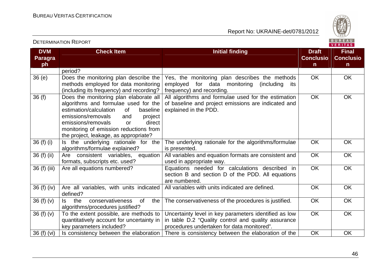Report No: UKRAINE-det/0781/2012



#### **DVM Paragraph Check Item Initial finding Check Item Initial finding Check Item Initial finding Initial finding Draft Initial finding ConclusionFinal Conclusion** period? 36 (e) Does the monitoring plan describe the methods employed for data monitoring (including its frequency) and recording? 36 (f) Does the monitoring plan elaborate all Yes, the monitoring plan describes the methods employed for data monitoring (including its frequency) and recording. All algorithms and formulae used for the estimationOK OK algorithms and formulae used for the baseline estimation/calculation of project emissions/removals and direct emissions/removals or monitoring of emission reductions from the project, leakage, as appropriate? 36 (f) (i)  $\vert$  is the underlying rationale for the of baseline and project emissions are indicated andexplained in the PDD. OK OK algorithms/formulae explained? 36 (f) (ii)  $\vert$  Are consistent variables, equation The underlying rationale for the algorithms/formulae is presented. All variables and equation formats are consistent and OK OK formats, subscripts etc. used? used in appropriate way. 36 (f) (iii) Are all equations numbered?  $\vert$  Equations needed for calculations described in OK OK section B and section D of the PDD. All equations are numbered. All variables with units indicated are defined.  $\overline{O}$  OK  $\overline{O}$  OK OK OK 36 (f) (iv)  $\vert$  Are all variables, with units indicated defined? the 36 (f)  $(v)$  Is the conservativeness of the algorithms/procedures justified? 36 (f) (v)  $\overline{\phantom{a}}$  To the extent possible, are methods to The conservativeness of the procedures is justified. COK COK quantitatively account for uncertainty in key parameters included? Is consistency between the elaboration Uncertainty level in key parameters identified as low in table D.2 "Quality control and quality assuranceprocedures undertaken for data monitored". 36 (f) (vi) | Is consistency between the elaboration | There is consistency between the elaboration of the  $|$  OK | OK OK OK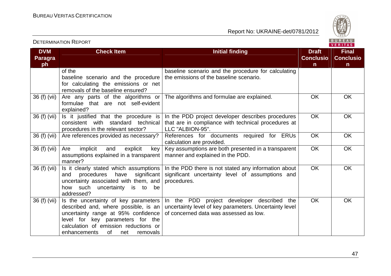

| <b>DVM</b><br><b>Paragra</b> | <b>Check Item</b>                         | <b>Initial finding</b>                                 | <b>Draft</b><br><b>Conclusio</b> | <b>Final</b><br><b>Conclusio</b> |
|------------------------------|-------------------------------------------|--------------------------------------------------------|----------------------------------|----------------------------------|
| ph                           |                                           |                                                        | $\mathsf{n}$                     | $\mathsf{n}$                     |
|                              | of the                                    | baseline scenario and the procedure for calculating    |                                  |                                  |
|                              | baseline scenario and the procedure       | the emissions of the baseline scenario.                |                                  |                                  |
|                              | for calculating the emissions or net      |                                                        |                                  |                                  |
|                              | removals of the baseline ensured?         |                                                        |                                  |                                  |
| 36 (f) (vii)                 | Are any parts of the algorithms or        | The algorithms and formulae are explained.             | <b>OK</b>                        | <b>OK</b>                        |
|                              | formulae that are not self-evident        |                                                        |                                  |                                  |
|                              | explained?                                |                                                        |                                  |                                  |
| 36 (f) (vii)                 | Is it justified that the procedure is     | In the PDD project developer describes procedures      | <b>OK</b>                        | OK                               |
|                              | consistent with standard technical        | that are in compliance with technical procedures at    |                                  |                                  |
|                              | procedures in the relevant sector?        | LLC "ALBION-95".                                       |                                  |                                  |
| 36 (f) (vii)                 | Are references provided as necessary?     | References for documents required for ERUs             | <b>OK</b>                        | OK                               |
|                              |                                           | calculation are provided.                              |                                  |                                  |
| 36 (f) (vii)                 | implicit<br>and<br>explicit<br>Are<br>key | Key assumptions are both presented in a transparent    | <b>OK</b>                        | OK                               |
|                              | assumptions explained in a transparent    | manner and explained in the PDD.                       |                                  |                                  |
|                              | manner?                                   |                                                        |                                  |                                  |
| 36 (f) (vii)                 | Is it clearly stated which assumptions    | In the PDD there is not stated any information about   | <b>OK</b>                        | OK                               |
|                              | procedures<br>have<br>significant<br>and  | significant uncertainty level of assumptions and       |                                  |                                  |
|                              | uncertainty associated with them, and     | procedures.                                            |                                  |                                  |
|                              | how such uncertainty is to be             |                                                        |                                  |                                  |
|                              | addressed?                                |                                                        |                                  |                                  |
| 36 (f) (vii)                 | Is the uncertainty of key parameters      | In the PDD project developer described the             | <b>OK</b>                        | <b>OK</b>                        |
|                              | described and, where possible, is an      | uncertainty level of key parameters. Uncertainty level |                                  |                                  |
|                              | uncertainty range at 95% confidence       | of concerned data was assessed as low.                 |                                  |                                  |
|                              | level for key parameters for the          |                                                        |                                  |                                  |
|                              | calculation of emission reductions or     |                                                        |                                  |                                  |
|                              | of<br>enhancements<br>net<br>removals     |                                                        |                                  |                                  |

#### DETERMINATION REPORT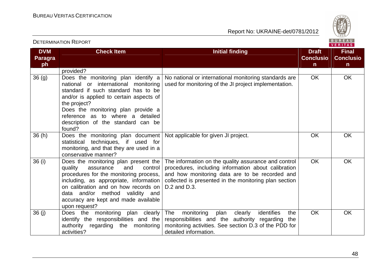

|                              |                                                                                                                                                                                                                                                                                                        |                                                                                                                                                                                                                                        |                                  | . <i>.</i>                       |
|------------------------------|--------------------------------------------------------------------------------------------------------------------------------------------------------------------------------------------------------------------------------------------------------------------------------------------------------|----------------------------------------------------------------------------------------------------------------------------------------------------------------------------------------------------------------------------------------|----------------------------------|----------------------------------|
| <b>DVM</b><br><b>Paragra</b> | <b>Check Item</b>                                                                                                                                                                                                                                                                                      | <b>Initial finding</b>                                                                                                                                                                                                                 | <b>Draft</b><br><b>Conclusio</b> | <b>Final</b><br><b>Conclusio</b> |
| ph                           |                                                                                                                                                                                                                                                                                                        |                                                                                                                                                                                                                                        | $\mathsf{n}$                     | $\mathsf{n}$                     |
|                              | provided?                                                                                                                                                                                                                                                                                              |                                                                                                                                                                                                                                        |                                  |                                  |
| 36(9)                        | Does the monitoring plan identify a<br>national or international monitoring<br>standard if such standard has to be<br>and/or is applied to certain aspects of<br>the project?                                                                                                                          | No national or international monitoring standards are<br>used for monitoring of the JI project implementation.                                                                                                                         | <b>OK</b>                        | OK                               |
|                              | Does the monitoring plan provide a<br>reference as to where a<br>detailed<br>description of the standard can be<br>found?                                                                                                                                                                              |                                                                                                                                                                                                                                        |                                  |                                  |
| 36(h)                        | Does the monitoring plan document   Not applicable for given JI project.<br>statistical techniques, if used for<br>monitoring, and that they are used in a<br>conservative manner?                                                                                                                     |                                                                                                                                                                                                                                        | <b>OK</b>                        | <b>OK</b>                        |
| 36(i)                        | Does the monitoring plan present the<br>quality<br>assurance<br>and<br>control<br>procedures for the monitoring process,<br>including, as appropriate, information<br>on calibration and on how records on<br>data and/or method validity and<br>accuracy are kept and made available<br>upon request? | The information on the quality assurance and control<br>procedures, including information about calibration<br>and how monitoring data are to be recorded and<br>collected is presented in the monitoring plan section<br>D.2 and D.3. | <b>OK</b>                        | <b>OK</b>                        |
| 36(j)                        | Does the<br>monitoring plan clearly<br>identify the responsibilities and the<br>authority regarding the monitoring<br>activities?                                                                                                                                                                      | The<br>identifies<br>plan<br>monitoring<br>clearly<br>the<br>responsibilities and the authority regarding<br>the<br>monitoring activities. See section D.3 of the PDD for<br>detailed information.                                     | OK                               | OK                               |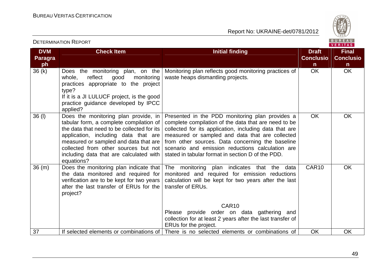

| <b>DVM</b><br><b>Paragra</b><br>ph | <b>Check Item</b>                                                                                                                                                                                                                                                                                               | <b>Initial finding</b>                                                                                                                                                                                                                                                                                                                                                            | <b>Draft</b><br><b>Conclusio</b><br>$\mathsf{n}$ | <b>Final</b><br><b>Conclusio</b><br>$\mathsf{n}$ |
|------------------------------------|-----------------------------------------------------------------------------------------------------------------------------------------------------------------------------------------------------------------------------------------------------------------------------------------------------------------|-----------------------------------------------------------------------------------------------------------------------------------------------------------------------------------------------------------------------------------------------------------------------------------------------------------------------------------------------------------------------------------|--------------------------------------------------|--------------------------------------------------|
| 36(k)                              | Does the monitoring plan, on the<br>reflect<br>monitoring<br>whole,<br>good<br>practices appropriate to the project<br>type?<br>If it is a JI LULUCF project, is the good<br>practice guidance developed by IPCC<br>applied?                                                                                    | Monitoring plan reflects good monitoring practices of<br>waste heaps dismantling projects.                                                                                                                                                                                                                                                                                        | <b>OK</b>                                        | <b>OK</b>                                        |
| 36 (I)                             | Does the monitoring plan provide, in<br>tabular form, a complete compilation of<br>the data that need to be collected for its<br>application, including data that are<br>measured or sampled and data that are<br>collected from other sources but not<br>including data that are calculated with<br>equations? | Presented in the PDD monitoring plan provides a<br>complete compilation of the data that are need to be<br>collected for its application, including data that are<br>measured or sampled and data that are collected<br>from other sources. Data concerning the baseline<br>scenario and emission reductions calculation are<br>stated in tabular format in section D of the PDD. | <b>OK</b>                                        | <b>OK</b>                                        |
| 36(m)                              | Does the monitoring plan indicate that<br>the data monitored and required for<br>verification are to be kept for two years<br>after the last transfer of ERUs for the<br>project?                                                                                                                               | The monitoring plan indicates that the data<br>monitored and required for emission reductions<br>calculation will be kept for two years after the last<br>transfer of ERUs.<br>CAR <sub>10</sub>                                                                                                                                                                                  | CAR10                                            | <b>OK</b>                                        |
|                                    |                                                                                                                                                                                                                                                                                                                 | Please provide order on data gathering and<br>collection for at least 2 years after the last transfer of<br>ERUs for the project.                                                                                                                                                                                                                                                 |                                                  |                                                  |
| 37                                 |                                                                                                                                                                                                                                                                                                                 | If selected elements or combinations of There is no selected elements or combinations of                                                                                                                                                                                                                                                                                          | OK                                               | OK                                               |

#### DETERMINATION REPORT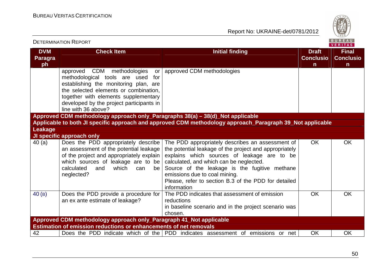

|                                    |                                                                                                                                                                                                                                                                          |                                                                                                                                                                                                                                                                                                                                                               |                                       | VERITAS                               |
|------------------------------------|--------------------------------------------------------------------------------------------------------------------------------------------------------------------------------------------------------------------------------------------------------------------------|---------------------------------------------------------------------------------------------------------------------------------------------------------------------------------------------------------------------------------------------------------------------------------------------------------------------------------------------------------------|---------------------------------------|---------------------------------------|
| <b>DVM</b><br><b>Paragra</b><br>ph | <b>Check Item</b>                                                                                                                                                                                                                                                        | <b>Initial finding</b>                                                                                                                                                                                                                                                                                                                                        | <b>Draft</b><br><b>Conclusio</b><br>n | <b>Final</b><br><b>Conclusio</b><br>n |
|                                    | CDM methodologies<br>approved<br>or<br>methodological tools are used<br>for<br>establishing the monitoring plan, are<br>the selected elements or combination,<br>together with elements supplementary<br>developed by the project participants in<br>line with 36 above? | approved CDM methodologies                                                                                                                                                                                                                                                                                                                                    |                                       |                                       |
|                                    | Approved CDM methodology approach only_Paragraphs 38(a) - 38(d)_Not applicable                                                                                                                                                                                           |                                                                                                                                                                                                                                                                                                                                                               |                                       |                                       |
|                                    |                                                                                                                                                                                                                                                                          | Applicable to both JI specific approach and approved CDM methodology approach_Paragraph 39_Not applicable                                                                                                                                                                                                                                                     |                                       |                                       |
| Leakage                            |                                                                                                                                                                                                                                                                          |                                                                                                                                                                                                                                                                                                                                                               |                                       |                                       |
|                                    | JI specific approach only                                                                                                                                                                                                                                                |                                                                                                                                                                                                                                                                                                                                                               |                                       |                                       |
| 40(a)                              | Does the PDD appropriately describe<br>an assessment of the potential leakage<br>of the project and appropriately explain<br>which sources of leakage are to be<br>calculated<br>which<br>and<br>can<br>be<br>neglected?                                                 | The PDD appropriately describes an assessment of<br>the potential leakage of the project and appropriately<br>explains which sources of leakage are to be<br>calculated, and which can be neglected.<br>Source of the leakage is the fugitive methane<br>emissions due to coal mining.<br>Please, refer to section B.3 of the PDD for detailed<br>information | <b>OK</b>                             | <b>OK</b>                             |
| 40(B)                              | Does the PDD provide a procedure for<br>an ex ante estimate of leakage?                                                                                                                                                                                                  | The PDD indicates that assessment of emission<br>reductions<br>in baseline scenario and in the project scenario was<br>chosen.                                                                                                                                                                                                                                | OK                                    | <b>OK</b>                             |
|                                    | Approved CDM methodology approach only_Paragraph 41_Not applicable                                                                                                                                                                                                       |                                                                                                                                                                                                                                                                                                                                                               |                                       |                                       |
|                                    | Estimation of emission reductions or enhancements of net removals                                                                                                                                                                                                        |                                                                                                                                                                                                                                                                                                                                                               |                                       |                                       |
| 42                                 |                                                                                                                                                                                                                                                                          | Does the PDD indicate which of the PDD indicates assessment of emissions or net                                                                                                                                                                                                                                                                               | OK                                    | <b>OK</b>                             |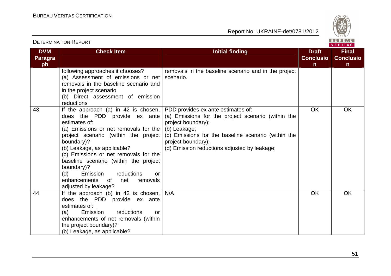

| <b>DVM</b><br><b>Paragra</b><br>ph | <b>Check Item</b>                                                                                                                                                                                                                                                                                                                                                                                                                                                                              | <b>Initial finding</b>                                                                                                                                                                                | <b>Draft</b><br><b>Conclusio</b><br>$\mathsf{n}$ | <b>Final</b><br><b>Conclusio</b><br>n |
|------------------------------------|------------------------------------------------------------------------------------------------------------------------------------------------------------------------------------------------------------------------------------------------------------------------------------------------------------------------------------------------------------------------------------------------------------------------------------------------------------------------------------------------|-------------------------------------------------------------------------------------------------------------------------------------------------------------------------------------------------------|--------------------------------------------------|---------------------------------------|
|                                    | following approaches it chooses?<br>(a) Assessment of emissions or net<br>removals in the baseline scenario and<br>in the project scenario<br>(b) Direct assessment of emission<br>reductions                                                                                                                                                                                                                                                                                                  | removals in the baseline scenario and in the project<br>scenario.                                                                                                                                     |                                                  |                                       |
| 43                                 | If the approach (a) in 42 is chosen, $ $ PDD provides ex ante estimates of:<br>does the PDD provide ex ante<br>estimates of:<br>(a) Emissions or net removals for the $\vert$ (b) Leakage;<br>project scenario (within the project<br>boundary)?<br>(b) Leakage, as applicable?<br>(c) Emissions or net removals for the<br>baseline scenario (within the project<br>boundary)?<br>reductions<br>(d)<br>Emission<br><b>or</b><br>enhancements<br>net<br>removals<br>of<br>adjusted by leakage? | (a) Emissions for the project scenario (within the<br>project boundary);<br>(c) Emissions for the baseline scenario (within the<br>project boundary);<br>(d) Emission reductions adjusted by leakage; | <b>OK</b>                                        | OK                                    |
| 44                                 | If the approach (b) in 42 is chosen, $N/A$<br>does the PDD provide ex ante<br>estimates of:<br>Emission<br>reductions<br>(a)<br>or<br>enhancements of net removals (within<br>the project boundary)?<br>(b) Leakage, as applicable?                                                                                                                                                                                                                                                            |                                                                                                                                                                                                       | <b>OK</b>                                        | OK                                    |

#### DETERMINATION REPORT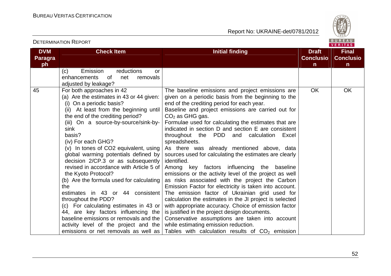

**VERITAS** 

**DVM Paragraph Check Item Initial finding Check Item Initial finding Check Item Initial finding Initial finding Draft Initial finding ConclusionFinal Conclusion** (c) Emission reductions or enhancements of net removals adjusted by leakage? 45 For both approaches in 42 (a) Are the estimates in 43 or 44 given: (i) On a periodic basis? (ii) At least from the beginning until the end of the crediting period? (iii) On a source-by-source/sink-bysink basis? (iv) For each GHG? (v) In tones of CO2 equivalent, using global warming potentials defined by decision 2/CP.3 or as subsequently revised in accordance with Article 5 of the Kyoto Protocol? (b) Are the formula used for calculating the estimates in 43 or 44 consistent throughout the PDD? (c) For calculating estimates in 43 or 44, are key factors influencing the baseline emissions or removals and the activity level of the project and the emissions or net removals as well as The baseline emissions and project emissions are given on a periodic basis from the beginning to theend of the crediting period for each year. Baseline and project emissions are carried out for  $CO<sub>2</sub>$  as GHG gas. Formulae used for calculating the estimates that are indicated in section D and section E are consistent throughout the PDD and calculation Excel spreadsheets. As there was already mentioned above, data sources used for calculating the estimates are clearly identified. Among key factors influencing the baseline emissions or the activity level of the project as well as risks associated with the project the Carbon Emission Factor for electricity is taken into account. The emission factor of Ukrainian grid used for calculation the estimates in the JI project is selected with appropriate accuracy. Choice of emission factor is justified in the project design documents. Conservative assumptions are taken into account while estimating emission reduction. Tables with calculation results of  $CO<sub>2</sub>$  emission OK OK

#### DETERMINATION REPORT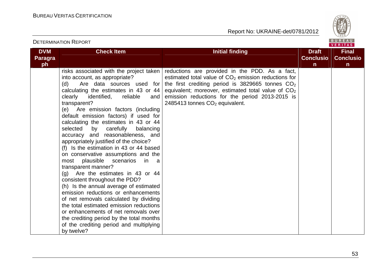

|                                    | <b>DETERMINATION REPORT</b>                                                                                                                                                                                                                                                                                                                                                                                                                                                                                                                                                                                                                                                                                                                                                                                                                                                                                                                                  | BUREAU<br><b>VERITAS</b>                                                                                                                                                                                                                                                                                                                                                          |                                                  |                                                  |  |  |
|------------------------------------|--------------------------------------------------------------------------------------------------------------------------------------------------------------------------------------------------------------------------------------------------------------------------------------------------------------------------------------------------------------------------------------------------------------------------------------------------------------------------------------------------------------------------------------------------------------------------------------------------------------------------------------------------------------------------------------------------------------------------------------------------------------------------------------------------------------------------------------------------------------------------------------------------------------------------------------------------------------|-----------------------------------------------------------------------------------------------------------------------------------------------------------------------------------------------------------------------------------------------------------------------------------------------------------------------------------------------------------------------------------|--------------------------------------------------|--------------------------------------------------|--|--|
| <b>DVM</b><br><b>Paragra</b><br>ph | <b>Check Item</b>                                                                                                                                                                                                                                                                                                                                                                                                                                                                                                                                                                                                                                                                                                                                                                                                                                                                                                                                            | <b>Initial finding</b>                                                                                                                                                                                                                                                                                                                                                            | <b>Draft</b><br><b>Conclusio</b><br>$\mathsf{n}$ | <b>Final</b><br><b>Conclusio</b><br>$\mathsf{n}$ |  |  |
|                                    | into account, as appropriate?<br>(d)<br>calculating the estimates in 43 or 44<br>clearly<br>identified,<br>reliable<br>and<br>transparent?<br>(e) Are emission factors (including<br>default emission factors) if used for<br>calculating the estimates in 43 or 44<br>selected<br>by carefully<br>balancing<br>accuracy and reasonableness, and<br>appropriately justified of the choice?<br>(f) Is the estimation in 43 or 44 based<br>on conservative assumptions and the<br>most plausible scenarios<br>$\overline{\mathsf{in}}$<br>a a<br>transparent manner?<br>(g) Are the estimates in 43 or 44<br>consistent throughout the PDD?<br>(h) Is the annual average of estimated<br>emission reductions or enhancements<br>of net removals calculated by dividing<br>the total estimated emission reductions<br>or enhancements of net removals over<br>the crediting period by the total months<br>of the crediting period and multiplying<br>by twelve? | risks associated with the project taken   reductions are provided in the PDD. As a fact,<br>estimated total value of $CO2$ emission reductions for<br>Are data sources used for the first crediting period is 3829665 tonnes $CO2$<br>equivalent; moreover, estimated total value of $CO2$<br>emission reductions for the period 2013-2015 is<br>2485413 tonnes $CO2$ equivalent. |                                                  |                                                  |  |  |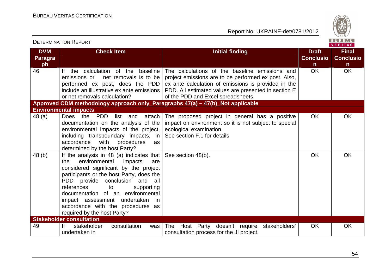Report No: UKRAINE-det/0781/2012



| <b>DVM</b>    | <b>Check Item</b>                                                                                                                                                                                                                                                                                                                                                                                | <b>Initial finding</b>                                                                                                                                                                                                                                      | <b>Draft</b><br><b>Conclusio</b> | <b>Final</b><br><b>Conclusio</b> |
|---------------|--------------------------------------------------------------------------------------------------------------------------------------------------------------------------------------------------------------------------------------------------------------------------------------------------------------------------------------------------------------------------------------------------|-------------------------------------------------------------------------------------------------------------------------------------------------------------------------------------------------------------------------------------------------------------|----------------------------------|----------------------------------|
| Paragra<br>ph |                                                                                                                                                                                                                                                                                                                                                                                                  |                                                                                                                                                                                                                                                             | n                                | n                                |
| 46            | calculation of the baseline<br>If the<br>net removals is to be<br>emissions or<br>performed ex post, does the PDD<br>include an illustrative ex ante emissions<br>or net removals calculation?                                                                                                                                                                                                   | The calculations of the baseline emissions and<br>project emissions are to be performed ex post. Also,<br>ex ante calculation of emissions is provided in the<br>PDD. All estimated values are presented in section E<br>of the PDD and Excel spreadsheets. | <b>OK</b>                        | <b>OK</b>                        |
|               | Approved CDM methodology approach only_Paragraphs 47(a) - 47(b)_Not applicable                                                                                                                                                                                                                                                                                                                   |                                                                                                                                                                                                                                                             |                                  |                                  |
|               | <b>Environmental impacts</b>                                                                                                                                                                                                                                                                                                                                                                     |                                                                                                                                                                                                                                                             |                                  |                                  |
| 48(a)         | Does the<br>PDD<br>list<br>attach<br>and<br>documentation on the analysis of the<br>environmental impacts of the project,<br>including transboundary impacts, in<br>with<br>accordance<br>procedures<br>as<br>determined by the host Party?                                                                                                                                                      | The proposed project in general has a positive<br>impact on environment so it is not subject to special<br>ecological examination.<br>See section F.1 for details                                                                                           | <b>OK</b>                        | <b>OK</b>                        |
| 48(b)         | If the analysis in 48 (a) indicates that<br>environmental<br>impacts<br>the<br>are<br>considered significant by the project<br>participants or the host Party, does the<br>PDD provide conclusion<br>and<br>all<br>references<br>supporting<br>to<br>documentation of an environmental<br>impact assessment undertaken<br>in<br>accordance with the procedures as<br>required by the host Party? | See section 48(b).                                                                                                                                                                                                                                          | OK                               | OK                               |
|               | <b>Stakeholder consultation</b>                                                                                                                                                                                                                                                                                                                                                                  |                                                                                                                                                                                                                                                             |                                  |                                  |
| 49            | consultation<br>lf<br>stakeholder<br>was<br>undertaken in                                                                                                                                                                                                                                                                                                                                        | Host Party doesn't require stakeholders'<br>The<br>consultation process for the JI project.                                                                                                                                                                 | OK                               | <b>OK</b>                        |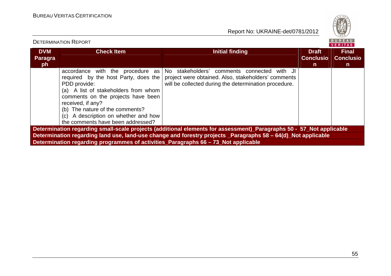Report No: UKRAINE-det/0781/2012



#### VERITAS **DVM Check Item Initial finding Check Item Initial finding Check Item Initial finding Initial finding Check Item Initial finding Initial finding Initial finding Initial finding Initial finding Initial finding Initial finding I Final Paragra Conclusio Conclusioph n n**accordance with the procedure as No stakeholders' comments connected with JI required by the host Party, does the project were obtained. Also, stakeholders' commentsPDD provide: will be collected during the determination procedure. (a) A list of stakeholders from whom comments on the projects have been received, if any? (b) The nature of the comments? (c) A description on whether and how the comments have been addressed? **Determination regarding small-scale projects (additional elements for assessment)\_Paragraphs 50 - 57\_Not applicable Determination regarding land use, land-use change and forestry projects \_Paragraphs 58 – 64(d)\_Not applicable Determination regarding programmes of activities\_Paragraphs 66 – 73\_Not applicable**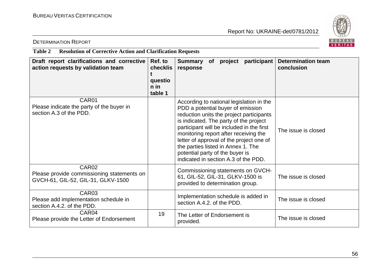

#### DETERMINATION REPORT

#### **Table 2 Resolution of Corrective Action and Clarification Requests**

| Draft report clarifications and corrective<br>action requests by validation team                      | Ref. to<br>checklis<br>questio<br>n in<br>table 1 | <b>Determination team</b><br>participant<br>Summary<br>project<br><b>of</b><br>conclusion<br>response                                                                                                                                                                                                                                                                                                                                         |
|-------------------------------------------------------------------------------------------------------|---------------------------------------------------|-----------------------------------------------------------------------------------------------------------------------------------------------------------------------------------------------------------------------------------------------------------------------------------------------------------------------------------------------------------------------------------------------------------------------------------------------|
| CAR01<br>Please indicate the party of the buyer in<br>section A.3 of the PDD.                         |                                                   | According to national legislation in the<br>PDD a potential buyer of emission<br>reduction units the project participants<br>is indicated. The party of the project<br>participant will be included in the first<br>The issue is closed<br>monitoring report after receiving the<br>letter of approval of the project one of<br>the parties listed in Annex 1. The<br>potential party of the buyer is<br>indicated in section A.3 of the PDD. |
| CAR <sub>02</sub><br>Please provide commissioning statements on<br>GVCH-61, GIL-52, GIL-31, GLKV-1500 |                                                   | Commissioning statements on GVCH-<br>61, GIL-52, GIL-31, GLKV-1500 is<br>The issue is closed<br>provided to determination group.                                                                                                                                                                                                                                                                                                              |
| CAR03<br>Please add implementation schedule in<br>section A.4.2. of the PDD.                          |                                                   | Implementation schedule is added in<br>The issue is closed<br>section A.4.2. of the PDD.                                                                                                                                                                                                                                                                                                                                                      |
| CAR04<br>Please provide the Letter of Endorsement                                                     | 19                                                | The Letter of Endorsement is<br>The issue is closed<br>provided.                                                                                                                                                                                                                                                                                                                                                                              |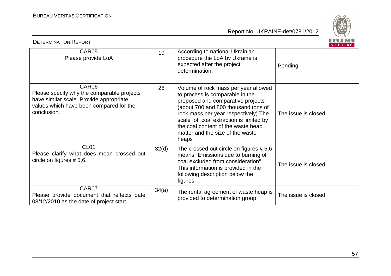

| BUREAU<br><b>DETERMINATION REPORT</b><br>VERITAS                                                                                                         |       |                                                                                                                                                                                                                                                                                                                           |                     |  |  |
|----------------------------------------------------------------------------------------------------------------------------------------------------------|-------|---------------------------------------------------------------------------------------------------------------------------------------------------------------------------------------------------------------------------------------------------------------------------------------------------------------------------|---------------------|--|--|
| CAR05<br>Please provide LoA                                                                                                                              | 19    | According to national Ukrainian<br>procedure the LoA by Ukraine is<br>expected after the project<br>determination.                                                                                                                                                                                                        | Pending             |  |  |
| CAR06<br>Please specify why the comparable projects<br>have similar scale. Provide appropriate<br>values which have been compared for the<br>conclusion. | 28    | Volume of rock mass per year allowed<br>to process is comparable in the<br>proposed and comparative projects<br>(about 700 and 800 thousand tons of<br>rock mass per year respectively). The<br>scale of coal extraction is limited by<br>the coal content of the waste heap<br>matter and the size of the waste<br>heaps | The issue is closed |  |  |
| CL <sub>01</sub><br>Please clarify what does mean crossed out<br>circle on figures $# 5,6.$                                                              | 32(d) | The crossed out circle on figures $# 5,6$<br>means "Emissions due to burning of<br>coal excluded from consideration".<br>This information is provided in the<br>following description below the<br>figures.                                                                                                               | The issue is closed |  |  |
| CAR07<br>Please provide document that reflects date<br>08/12/2010 as the date of project start.                                                          | 34(a) | The rental agreement of waste heap is<br>provided to determination group.                                                                                                                                                                                                                                                 | The issue is closed |  |  |